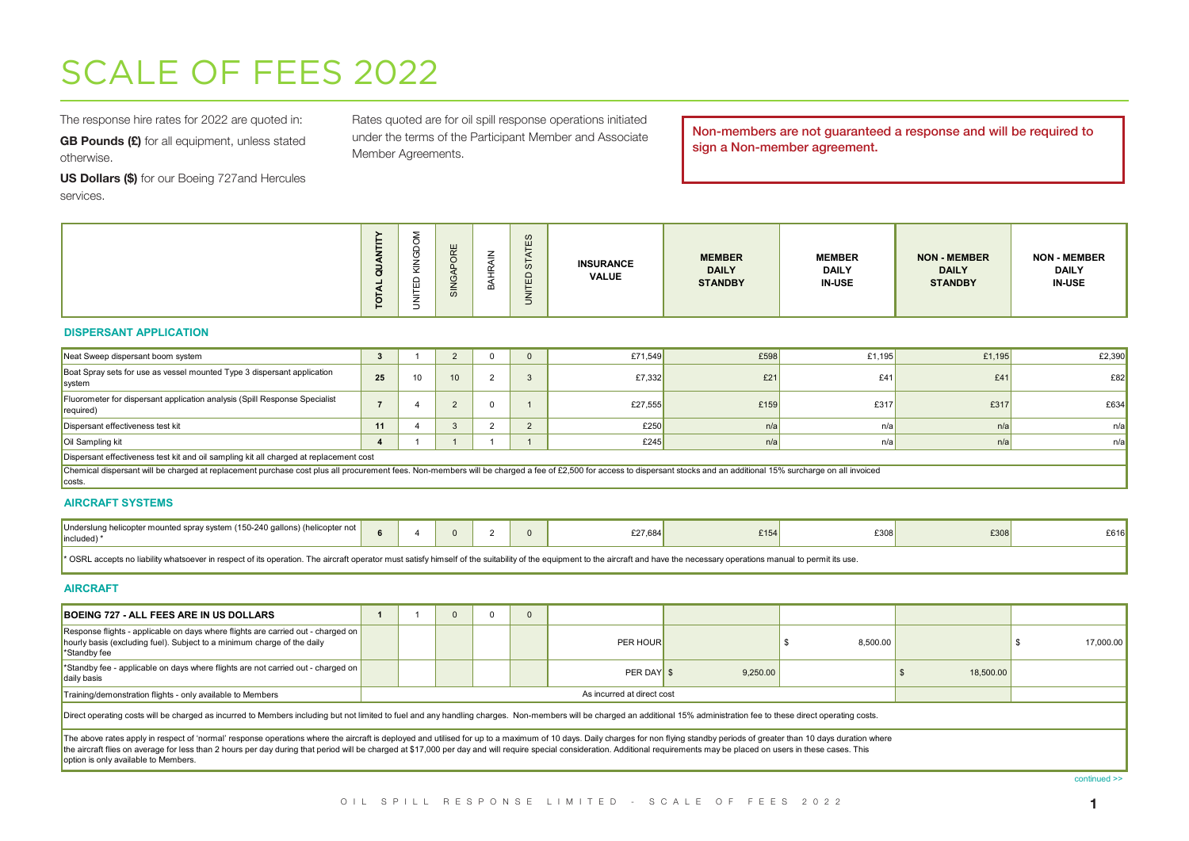# SCALE OF FEES 2022

The response hire rates for 2022 are quoted in:

GB Pounds (£) for all equipment, unless stated otherwise.

US Dollars (\$) for our Boeing 727and Hercules services.

Rates quoted are for oil spill response operations initiated under the terms of the Participant Member and Associate Member Agreements.

Non-members are not guaranteed a response and will be required to sign a Non-member agreement.

#### **DISPERSANT APPLICATION**

| Neat Sweep dispersant boom system                                                                                                                                                                                                 |    |                 |  | £71,549 | £598 | £1,195 | £1.195 | £2,390 |
|-----------------------------------------------------------------------------------------------------------------------------------------------------------------------------------------------------------------------------------|----|-----------------|--|---------|------|--------|--------|--------|
| Boat Spray sets for use as vessel mounted Type 3 dispersant application<br>system                                                                                                                                                 | 25 | 10 <sup>1</sup> |  | £7.332  | £21  | £41    | £41    | E82    |
| Fluorometer for dispersant application analysis (Spill Response Specialist<br>required)                                                                                                                                           |    |                 |  | £27,555 | £159 | £317   | £317   | £634   |
| Dispersant effectiveness test kit                                                                                                                                                                                                 | 11 |                 |  | £250    | n/a  | n/al   | n/a    | n/a    |
| Oil Sampling kit                                                                                                                                                                                                                  |    |                 |  | £245    | n/a  | n/a    | n/a    | n/a    |
| Dispersant effectiveness test kit and oil sampling kit all charged at replacement cost                                                                                                                                            |    |                 |  |         |      |        |        |        |
| Chemical dispersant will be charged at replacement purchase cost plus all procurement fees. Non-members will be charged a fee of £2,500 for access to dispersant stocks and an additional 15% surcharge on all invoiced<br>costs. |    |                 |  |         |      |        |        |        |

### **AIRCRAFT SYSTEMS**

| Underslung helicopter mounted spray system (150-240 gallons) (helicopter not<br>lincluded) <sup>*</sup>                                                                                                                        |  |  | £27.6841 | 2154 | £308 | £308 | £616 |
|--------------------------------------------------------------------------------------------------------------------------------------------------------------------------------------------------------------------------------|--|--|----------|------|------|------|------|
| * OSRL accepts no liability whatsoever in respect of its operation. The aircraft operator must satisfy himself of the suitability of the equipment to the aircraft and have the necessary operations manual to permit its use. |  |  |          |      |      |      |      |

#### **AIRCRAFT**

| BOEING 727 - ALL FEES ARE IN US DOLLARS                                                                                                                                                                                                                                                                                                                                                                                                                                                                  |  |  |                            |          |          |           |           |
|----------------------------------------------------------------------------------------------------------------------------------------------------------------------------------------------------------------------------------------------------------------------------------------------------------------------------------------------------------------------------------------------------------------------------------------------------------------------------------------------------------|--|--|----------------------------|----------|----------|-----------|-----------|
| Response flights - applicable on days where flights are carried out - charged on<br>hourly basis (excluding fuel). Subject to a minimum charge of the daily<br>*Standby fee                                                                                                                                                                                                                                                                                                                              |  |  | PER HOUR                   |          | 8.500.00 |           | 17,000.00 |
| Standby fee - applicable on days where flights are not carried out - charged on<br>daily basis                                                                                                                                                                                                                                                                                                                                                                                                           |  |  | PER DAY \$                 | 9.250.00 |          | 18,500.00 |           |
| Training/demonstration flights - only available to Members                                                                                                                                                                                                                                                                                                                                                                                                                                               |  |  | As incurred at direct cost |          |          |           |           |
| Direct operating costs will be charged as incurred to Members including but not limited to fuel and any handling charges. Non-members will be charged an additional 15% administration fee to these direct operating costs.                                                                                                                                                                                                                                                                              |  |  |                            |          |          |           |           |
| The above rates apply in respect of 'normal' response operations where the aircraft is deployed and utilised for up to a maximum of 10 days. Daily charges for non flying standby periods of greater than 10 days duration whe<br>the aircraft flies on average for less than 2 hours per day during that period will be charged at \$17,000 per day and will require special consideration. Additional requirements may be placed on users in these cases. This<br>option is only available to Members. |  |  |                            |          |          |           |           |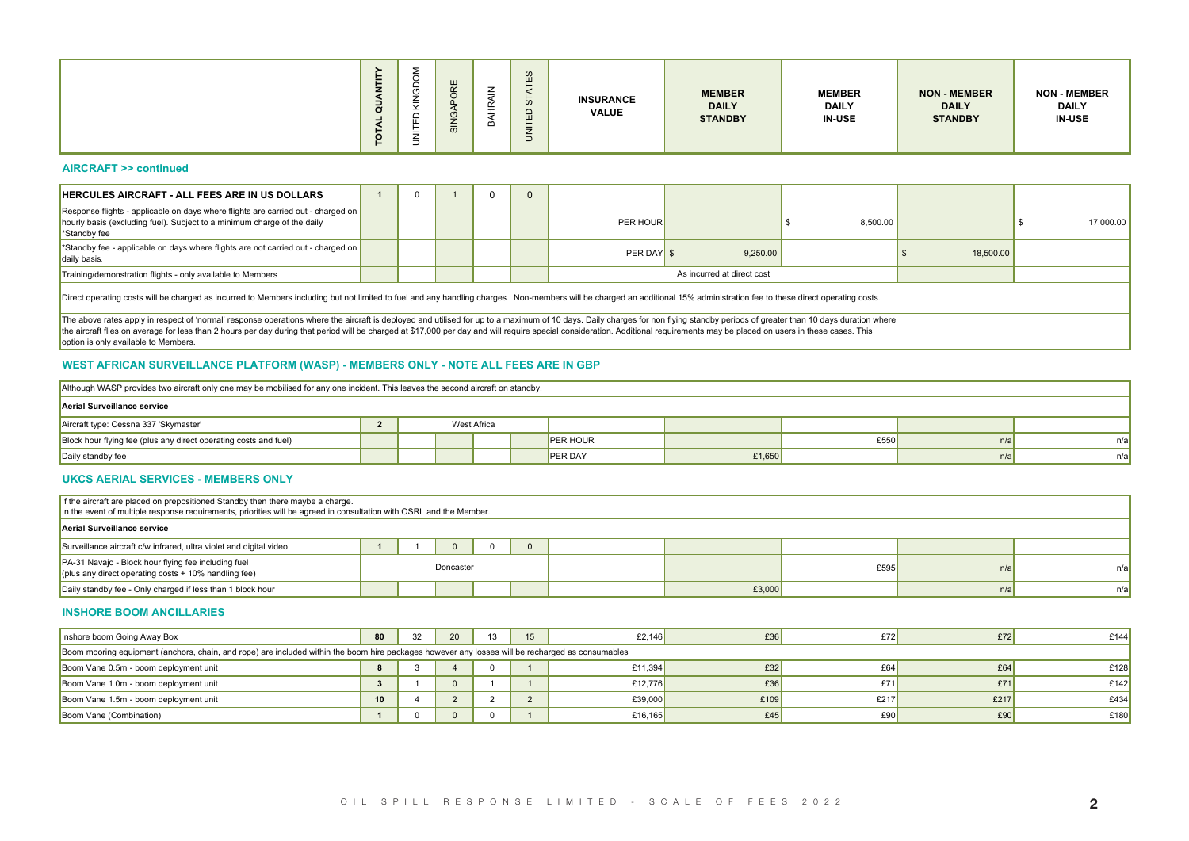#### **AIRCRAFT >> continued**

| <b>AIRCRAFT &gt;&gt; continued</b><br>HERCULES AIRCRAFT - ALL FEES ARE IN US DOLLARS<br>Response flights - applicable on days where flights are carried out - charged on $\vert$<br>hourly basis (excluding fuel). Subject to a minimum charge of the daily<br>*Standby fee<br>*Standby fee - applicable on days where flights are not carried out - charged on  <br>daily basis.<br>Training/demonstration flights - only available to Members<br>Direct operating costs will be charged as incurred to Members including but not limited to fuel and any handling charges. Non-members will be charged an additional 15% administration fee to these direct operating costs.<br>The above rates apply in respect of 'normal' response operations where the aircraft is deployed and utilised for up to a maximum of 10 days. Daily charges for non flying standby periods of greater than 10 days duration whe | $\overline{1}$ | $\overline{\mathbf{0}}$ | $\mathbf{1}$            | $\overline{0}$                                                        |                |            |                            |          |           |           |
|------------------------------------------------------------------------------------------------------------------------------------------------------------------------------------------------------------------------------------------------------------------------------------------------------------------------------------------------------------------------------------------------------------------------------------------------------------------------------------------------------------------------------------------------------------------------------------------------------------------------------------------------------------------------------------------------------------------------------------------------------------------------------------------------------------------------------------------------------------------------------------------------------------------|----------------|-------------------------|-------------------------|-----------------------------------------------------------------------|----------------|------------|----------------------------|----------|-----------|-----------|
|                                                                                                                                                                                                                                                                                                                                                                                                                                                                                                                                                                                                                                                                                                                                                                                                                                                                                                                  |                |                         |                         |                                                                       |                |            |                            |          |           |           |
|                                                                                                                                                                                                                                                                                                                                                                                                                                                                                                                                                                                                                                                                                                                                                                                                                                                                                                                  |                |                         |                         |                                                                       | $\overline{0}$ |            |                            |          |           |           |
|                                                                                                                                                                                                                                                                                                                                                                                                                                                                                                                                                                                                                                                                                                                                                                                                                                                                                                                  |                |                         |                         |                                                                       |                | PER HOUR   |                            | 8,500.00 |           | 17,000.00 |
|                                                                                                                                                                                                                                                                                                                                                                                                                                                                                                                                                                                                                                                                                                                                                                                                                                                                                                                  |                |                         |                         |                                                                       |                | PER DAY \$ | 9,250.00                   |          | 18,500.00 |           |
|                                                                                                                                                                                                                                                                                                                                                                                                                                                                                                                                                                                                                                                                                                                                                                                                                                                                                                                  |                |                         |                         |                                                                       |                |            | As incurred at direct cost |          |           |           |
|                                                                                                                                                                                                                                                                                                                                                                                                                                                                                                                                                                                                                                                                                                                                                                                                                                                                                                                  |                |                         |                         |                                                                       |                |            |                            |          |           |           |
| the aircraft flies on average for less than 2 hours per day during that period will be charged at \$17,000 per day and will require special consideration. Additional requirements may be placed on users in these cases. This<br>option is only available to Members.<br>WEST AFRICAN SURVEILLANCE PLATFORM (WASP) - MEMBERS ONLY - NOTE ALL FEES ARE IN GBP                                                                                                                                                                                                                                                                                                                                                                                                                                                                                                                                                    |                |                         |                         |                                                                       |                |            |                            |          |           |           |
| Although WASP provides two aircraft only one may be mobilised for any one incident. This leaves the second aircraft on standby.                                                                                                                                                                                                                                                                                                                                                                                                                                                                                                                                                                                                                                                                                                                                                                                  |                |                         |                         |                                                                       |                |            |                            |          |           |           |
| Aerial Surveillance service                                                                                                                                                                                                                                                                                                                                                                                                                                                                                                                                                                                                                                                                                                                                                                                                                                                                                      |                |                         |                         |                                                                       |                |            |                            |          |           |           |
| Aircraft type: Cessna 337 'Skymaster'                                                                                                                                                                                                                                                                                                                                                                                                                                                                                                                                                                                                                                                                                                                                                                                                                                                                            | $\overline{2}$ |                         |                         | West Africa                                                           |                |            |                            |          |           |           |
| Block hour flying fee (plus any direct operating costs and fuel)                                                                                                                                                                                                                                                                                                                                                                                                                                                                                                                                                                                                                                                                                                                                                                                                                                                 |                |                         |                         |                                                                       | PER HOUR       |            |                            | £550     | n/a       |           |
| Daily standby fee                                                                                                                                                                                                                                                                                                                                                                                                                                                                                                                                                                                                                                                                                                                                                                                                                                                                                                |                |                         |                         |                                                                       | <b>PER DAY</b> |            | £1,650                     |          | n/a       |           |
| <b>UKCS AERIAL SERVICES - MEMBERS ONLY</b>                                                                                                                                                                                                                                                                                                                                                                                                                                                                                                                                                                                                                                                                                                                                                                                                                                                                       |                |                         |                         |                                                                       |                |            |                            |          |           |           |
| If the aircraft are placed on prepositioned Standby then there maybe a charge.<br>In the event of multiple response requirements, priorities will be agreed in consultation with OSRL and the Member.                                                                                                                                                                                                                                                                                                                                                                                                                                                                                                                                                                                                                                                                                                            |                |                         |                         |                                                                       |                |            |                            |          |           |           |
| Aerial Surveillance service                                                                                                                                                                                                                                                                                                                                                                                                                                                                                                                                                                                                                                                                                                                                                                                                                                                                                      |                |                         |                         |                                                                       |                |            |                            |          |           |           |
| Surveillance aircraft c/w infrared, ultra violet and digital video                                                                                                                                                                                                                                                                                                                                                                                                                                                                                                                                                                                                                                                                                                                                                                                                                                               |                | $1 \quad 1 \quad$       |                         | $\begin{array}{c c c c c c} \hline \circ & \circ & \circ \end{array}$ |                |            |                            |          |           |           |
| PA-31 Navajo - Block hour flying fee including fuel<br>(plus any direct operating costs $+$ 10% handling fee)                                                                                                                                                                                                                                                                                                                                                                                                                                                                                                                                                                                                                                                                                                                                                                                                    |                |                         | Doncaster               |                                                                       |                |            |                            | £595     | n/a       |           |
| Daily standby fee - Only charged if less than 1 block hour                                                                                                                                                                                                                                                                                                                                                                                                                                                                                                                                                                                                                                                                                                                                                                                                                                                       |                |                         |                         |                                                                       |                |            | £3,000                     |          | n/a       |           |
| <b>INSHORE BOOM ANCILLARIES</b>                                                                                                                                                                                                                                                                                                                                                                                                                                                                                                                                                                                                                                                                                                                                                                                                                                                                                  |                |                         |                         |                                                                       |                |            |                            |          |           |           |
| Inshore boom Going Away Box                                                                                                                                                                                                                                                                                                                                                                                                                                                                                                                                                                                                                                                                                                                                                                                                                                                                                      | 80             | 32                      | 20                      |                                                                       | $13\quad 15$   | £2,146     | £36                        | E72      | E72       | £144      |
| Boom mooring equipment (anchors, chain, and rope) are included within the boom hire packages however any losses will be recharged as consumables                                                                                                                                                                                                                                                                                                                                                                                                                                                                                                                                                                                                                                                                                                                                                                 |                |                         |                         |                                                                       |                |            |                            |          |           |           |
| Boom Vane 0.5m - boom deployment unit                                                                                                                                                                                                                                                                                                                                                                                                                                                                                                                                                                                                                                                                                                                                                                                                                                                                            | 8              | 3                       | $\overline{4}$          | $\overline{0}$                                                        | $\overline{1}$ | £11,394    | £32                        | £64      | £64       | £128      |
| Boom Vane 1.0m - boom deployment unit                                                                                                                                                                                                                                                                                                                                                                                                                                                                                                                                                                                                                                                                                                                                                                                                                                                                            | 3 <sup>1</sup> | $\overline{1}$          | $\overline{\mathbf{0}}$ | $-1$                                                                  | $\overline{1}$ | £12,776    | £36                        | £71      | £71       | £142      |
| Boom Vane 1.5m - boom deployment unit                                                                                                                                                                                                                                                                                                                                                                                                                                                                                                                                                                                                                                                                                                                                                                                                                                                                            | 10             |                         | 4 2 2 2                 |                                                                       |                | £39,000    | £109                       | £217     | £217      | £434      |
| Boom Vane (Combination)                                                                                                                                                                                                                                                                                                                                                                                                                                                                                                                                                                                                                                                                                                                                                                                                                                                                                          |                |                         | 1 0 0 0 1               |                                                                       |                | £16,165    | £45                        | E90      | £90       | £180      |

## **WEST AFRICAN SURVEILLANCE PLATFORM (WASP) - MEMBERS ONLY - NOTE ALL FEES ARE IN GBP**

| Although WASP provides two aircraft only one may be mobilised for any one incident. This leaves the second aircraft on standby. |  |             |                |        |      |     |     |
|---------------------------------------------------------------------------------------------------------------------------------|--|-------------|----------------|--------|------|-----|-----|
| Aerial Surveillance service                                                                                                     |  |             |                |        |      |     |     |
| Aircraft type: Cessna 337 'Skymaster'                                                                                           |  | West Africa |                |        |      |     |     |
| Block hour flying fee (plus any direct operating costs and fuel)                                                                |  |             | PER HOUR       |        | £550 | n/a | n/a |
| Daily standby fee                                                                                                               |  |             | <b>PER DAY</b> | £1,650 |      | n/a | n/a |

#### **UKCS AERIAL SERVICES - MEMBERS ONLY**

| If the aircraft are placed on prepositioned Standby then there maybe a charge.<br>In the event of multiple response requirements, priorities will be agreed in consultation with OSRL and the Member. |  |           |  |        |      |     |     |
|-------------------------------------------------------------------------------------------------------------------------------------------------------------------------------------------------------|--|-----------|--|--------|------|-----|-----|
| Aerial Surveillance service                                                                                                                                                                           |  |           |  |        |      |     |     |
| Surveillance aircraft c/w infrared, ultra violet and digital video                                                                                                                                    |  |           |  |        |      |     |     |
| PA-31 Navajo - Block hour flying fee including fuel<br>(plus any direct operating costs $+10\%$ handling fee)                                                                                         |  | Doncaster |  |        | £595 | n/a | n/a |
| Daily standby fee - Only charged if less than 1 block hour                                                                                                                                            |  |           |  | £3,000 |      | n/a | n/a |

#### **INSHORE BOOM ANCILLARIES**

| Inshore boom Going Away Box                                                                                                                      | 80 | 20 | 13 | 15 | £2.146  | £36  | E72  | £72  | £144 |
|--------------------------------------------------------------------------------------------------------------------------------------------------|----|----|----|----|---------|------|------|------|------|
| Boom mooring equipment (anchors, chain, and rope) are included within the boom hire packages however any losses will be recharged as consumables |    |    |    |    |         |      |      |      |      |
| Boom Vane 0.5m - boom deployment unit                                                                                                            |    |    |    |    | £11,394 | £32  | £64  | £64  | £128 |
| Boom Vane 1.0m - boom deployment unit                                                                                                            |    |    |    |    | £12.776 | £36  | £71  | £71  | £142 |
| Boom Vane 1.5m - boom deployment unit                                                                                                            | 10 |    |    |    | £39,000 | £109 | £217 | £217 | £434 |
| Boom Vane (Combination)                                                                                                                          |    |    |    |    | £16,165 | £45  | E90  | £90  | £180 |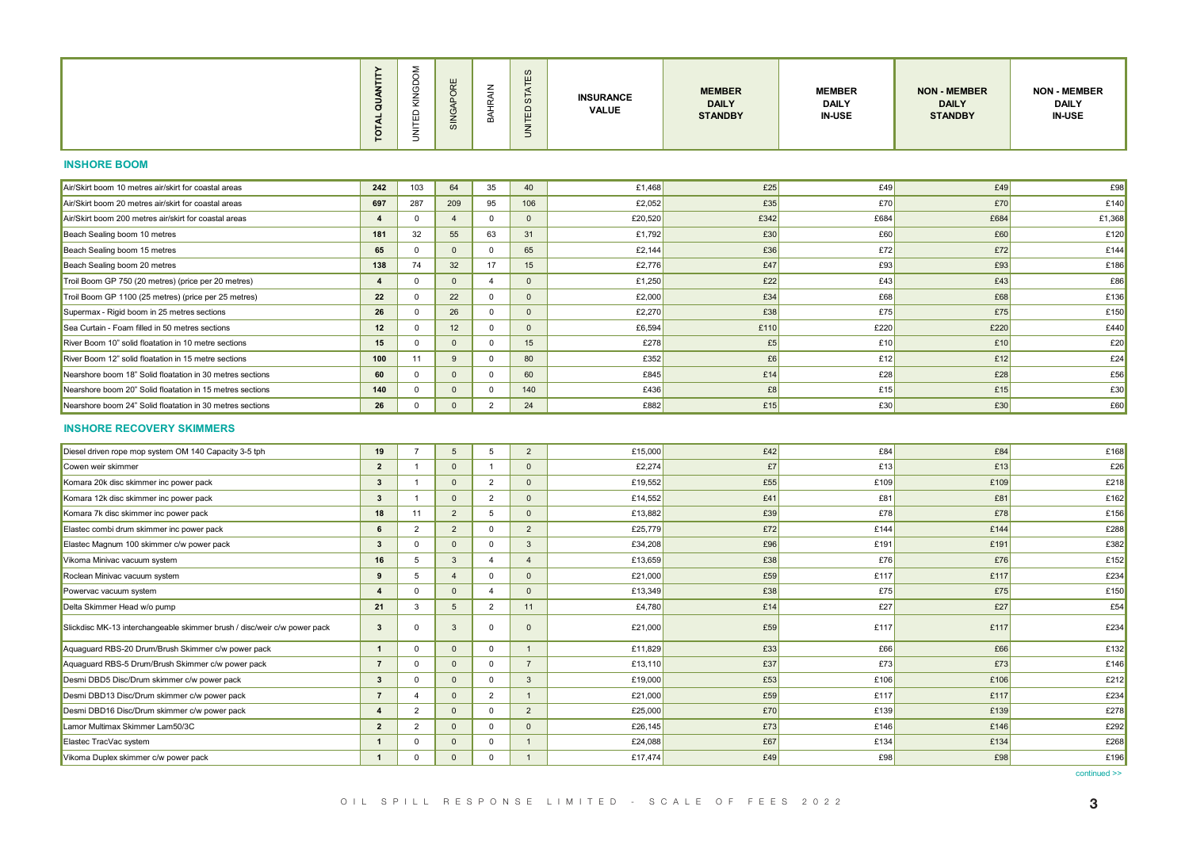#### **INSHORE BOOM**

| Air/Skirt boom 10 metres air/skirt for coastal areas      | 242 | 103 | 64           | 35             | 40  | £1,468  | £25  | £49  | £49  | £98    |
|-----------------------------------------------------------|-----|-----|--------------|----------------|-----|---------|------|------|------|--------|
| Air/Skirt boom 20 metres air/skirt for coastal areas      | 697 | 287 | 209          | 95             | 106 | £2,052  | £35  | £70  | E70  | £140   |
| Air/Skirt boom 200 metres air/skirt for coastal areas     |     |     |              | $\Omega$       |     | £20,520 | £342 | £684 | £684 | £1,368 |
| Beach Sealing boom 10 metres                              | 181 | 32  | 55           | 63             | 31  | £1,792  | £30  | £60  | £60  | £120   |
| Beach Sealing boom 15 metres                              | 65  |     |              | $\Omega$       | 65  | £2,144  | £36  | £72  | £72  | £144   |
| Beach Sealing boom 20 metres                              | 138 | 74  | 32           | 17             | 15  | £2,776  | £47  | E93  | £93  | £186   |
| Troil Boom GP 750 (20 metres) (price per 20 metres)       |     |     |              |                |     | £1,250  | £22  | £43  | £43  | £86    |
| Troil Boom GP 1100 (25 metres) (price per 25 metres)      | 22  |     | 22           | $\Omega$       |     | £2,000  | £34  | £68  | £68  | £136   |
| Supermax - Rigid boom in 25 metres sections               | 26  |     | 26           | $\Omega$       |     | £2,270  | £38  | £75  | £75  | £150   |
| Sea Curtain - Foam filled in 50 metres sections           | 12  |     | 12           | 0              |     | £6,594  | £110 | £220 | £220 | £440   |
| River Boom 10" solid floatation in 10 metre sections      | 15  |     |              | $\Omega$       | 15  | £278    | £5   | £10  | £10  | £20    |
| River Boom 12" solid floatation in 15 metre sections      | 100 | 11  | <sub>9</sub> | $^{\circ}$     | 80  | £352    | £6   | £12  | £12  | £24    |
| Nearshore boom 18" Solid floatation in 30 metres sections | 60  |     |              | $\mathbf{0}$   | 60  | £845    | £14  | £28  | £28  | £56    |
| Nearshore boom 20" Solid floatation in 15 metres sections | 140 |     |              | $\mathbf{0}$   | 140 | £436    | £8   | £15  | £15  | £30    |
| Nearshore boom 24" Solid floatation in 30 metres sections | 26  |     |              | $\overline{2}$ | 24  | £882    | £15  | £30  | £30  | £60    |

#### **INSHORE RECOVERY SKIMMERS**

|                                                                          | $\sigma$<br><b>TOTAL</b>                        | ⊻<br>UNITED             |                         |                                              |                         | - ব<br>5<br>$\mathbb{E}$   | <b>INSURANCE</b><br><b>VALUE</b> | <b>MEMBER</b><br><b>DAILY</b><br><b>STANDBY</b> | <b>MEMBER</b><br><b>DAILY</b><br><b>IN-USE</b> | <b>NON - MEMBER</b><br><b>DAILY</b><br><b>STANDBY</b> | <b>NON - MEMBER</b><br>DAILY<br><b>IN-USE</b> |
|--------------------------------------------------------------------------|-------------------------------------------------|-------------------------|-------------------------|----------------------------------------------|-------------------------|----------------------------|----------------------------------|-------------------------------------------------|------------------------------------------------|-------------------------------------------------------|-----------------------------------------------|
| <b>INSHORE BOOM</b>                                                      |                                                 |                         |                         |                                              |                         |                            |                                  |                                                 |                                                |                                                       |                                               |
| Air/Skirt boom 10 metres air/skirt for coastal areas                     | 242                                             | 103                     | 64                      |                                              | 35                      | 40                         | £1,468                           | £25                                             | £49                                            | £49                                                   | £98                                           |
| Air/Skirt boom 20 metres air/skirt for coastal areas                     | 697                                             | 287                     | 209                     |                                              | 95                      | 106                        | £2,052                           | £35                                             | E70                                            | E70                                                   | £140                                          |
| Air/Skirt boom 200 metres air/skirt for coastal areas                    | $\overline{4}$                                  | $\overline{\mathbf{0}}$ | $\overline{4}$          |                                              | $\overline{0}$          | $\overline{\phantom{0}}$   | £20,520                          | £342                                            | £684                                           | £684                                                  | £1,368                                        |
| Beach Sealing boom 10 metres                                             | 181                                             | 32                      |                         | 55                                           | 63                      | 31                         | £1,792                           | £30                                             | £60                                            | E60                                                   | £120                                          |
| Beach Sealing boom 15 metres                                             | 65                                              | $\overline{\mathbf{0}}$ |                         | $\overline{\mathbf{0}}$                      | $\overline{0}$          | 65                         | £2,144                           | £36                                             | E72                                            | E72                                                   | £144                                          |
| Beach Sealing boom 20 metres                                             | 138                                             | 74                      | 32                      |                                              | 17                      | 15                         | £2,776                           | E47                                             | E93                                            | E93                                                   | £186                                          |
| Troil Boom GP 750 (20 metres) (price per 20 metres)                      | $\sim$ 4                                        | $\overline{0}$          |                         | $\overline{\mathbf{0}}$                      | $\overline{4}$          | $\overline{\mathbf{0}}$    | £1,250                           | E22                                             | £43                                            | E43                                                   | £86                                           |
| Troil Boom GP 1100 (25 metres) (price per 25 metres)                     | 22                                              | $\overline{\mathbf{0}}$ | 22                      |                                              | $\overline{0}$          | $\overline{\mathbf{0}}$    | £2,000                           | £34                                             | E68                                            | £68                                                   | £136                                          |
| Supermax - Rigid boom in 25 metres sections                              | 26                                              | $\overline{\mathbf{0}}$ |                         | 26                                           | $\overline{0}$          | $\overline{\mathbf{0}}$    | £2,270                           | E38                                             | £75                                            | E75                                                   | £150                                          |
| Sea Curtain - Foam filled in 50 metres sections                          | 12                                              | $\overline{0}$          |                         | 12                                           | $\overline{0}$          | $\overline{\mathbf{0}}$    | £6,594                           | £110                                            | £220                                           | £220                                                  | £440                                          |
| River Boom 10" solid floatation in 10 metre sections                     | 15                                              | $\overline{\mathbf{0}}$ |                         | $\overline{\mathbf{0}}$                      | $\overline{\mathbf{0}}$ | 15                         | £278                             | f5                                              | £10                                            | £10                                                   | £20                                           |
| River Boom 12" solid floatation in 15 metre sections                     | 100                                             | 11                      |                         | 9                                            | $\overline{0}$          | 80                         | £352                             | £6                                              | £12                                            | £12                                                   | £24                                           |
| Nearshore boom 18" Solid floatation in 30 metres sections                | 60                                              | $\overline{0}$          | $\overline{0}$          |                                              | $\overline{0}$          | 60                         | £845                             | £14                                             | £28                                            | E28                                                   | £56                                           |
| Nearshore boom 20" Solid floatation in 15 metres sections                | 140                                             | $\overline{\mathbf{0}}$ | $\overline{\mathbf{0}}$ |                                              | $\overline{0}$          | 140                        | £436                             | £8                                              | £15                                            | £15                                                   | E30                                           |
| Nearshore boom 24" Solid floatation in 30 metres sections                |                                                 | $26$ 0                  |                         |                                              | $\overline{2}$          | 24                         | £882                             | £15                                             | £30                                            | £30                                                   | £60                                           |
| <b>INSHORE RECOVERY SKIMMERS</b>                                         |                                                 |                         |                         |                                              |                         |                            |                                  |                                                 |                                                |                                                       |                                               |
| Diesel driven rope mop system OM 140 Capacity 3-5 tph                    |                                                 | $19$ 7                  |                         | $5 \quad$                                    | $5 \mid 2$              |                            | £15,000                          | E42                                             | £84                                            | E84                                                   | £168                                          |
| Cowen weir skimmer                                                       | $\overline{2}$                                  | $\blacksquare$ 1        |                         | $\overline{\mathbf{0}}$                      | $\blacksquare$ 1        | $\overline{\mathbf{0}}$    | £2,274                           | E7                                              | £13                                            | £13                                                   | £26                                           |
| Komara 20k disc skimmer inc power pack                                   | $\overline{\mathbf{3}}$                         | $\overline{1}$          |                         | $\begin{array}{c c} 0 \\ \hline \end{array}$ | $\overline{\mathbf{2}}$ | $\overline{\phantom{0}}$   | £19,552                          | E55                                             | £109                                           | £109                                                  | £218                                          |
| Komara 12k disc skimmer inc power pack                                   | $\begin{array}{c} 3 \end{array}$                | $\overline{1}$          |                         | $\begin{array}{c c} 0 \\ \end{array}$        | $\overline{2}$          | $\overline{\mathbf{0}}$    | £14,552                          | £41                                             | £81                                            | E81                                                   | £162                                          |
| Komara 7k disc skimmer inc power pack                                    | 18                                              | 11                      |                         | $\overline{2}$                               | 5 <sub>5</sub>          | $\overline{\mathbf{0}}$    | £13,882                          | E39                                             | £78                                            | E78                                                   | £156                                          |
| Elastec combi drum skimmer inc power pack                                | $6 \quad$                                       | $\overline{2}$          |                         | $\overline{\mathbf{2}}$                      | $\overline{\mathbf{0}}$ | $\overline{\phantom{0}}$   | £25,779                          | E72                                             | £144                                           | £144                                                  | £288                                          |
| Elastec Magnum 100 skimmer c/w power pack                                | $3 \mid$                                        | $\overline{\mathbf{0}}$ | $\overline{\mathbf{0}}$ |                                              | $\overline{0}$          | $\overline{\mathbf{3}}$    | £34,208                          | E96                                             | £191                                           | £191                                                  | £382                                          |
| Vikoma Minivac vacuum system                                             | 16                                              | 5 <sub>5</sub>          | $\overline{\mathbf{3}}$ |                                              | $\sim$ 4                | $\overline{4}$             | £13,659                          | E38                                             | £76                                            | E76                                                   | £152                                          |
| Roclean Minivac vacuum system                                            | 9 <sub>1</sub>                                  | $5^{\circ}$             |                         | 4                                            | $\overline{0}$          | $\overline{\mathbf{0}}$    | £21,000                          | £59                                             | £117                                           | £117                                                  | £234                                          |
| Powervac vacuum system                                                   | $\vert$ 4 $\vert$                               | $\overline{\mathbf{0}}$ |                         | $\overline{\mathbf{0}}$                      | $\overline{4}$          | $\overline{\mathbf{0}}$    | £13,349                          | E38                                             | £75                                            | E75                                                   | £150                                          |
| Delta Skimmer Head w/o pump                                              |                                                 | $21 \quad   \quad 3$    |                         | $5 \quad$                                    | $\overline{2}$          | $-11$                      | £4,780                           | £14                                             | E27                                            | E27                                                   | £54                                           |
| Slickdisc MK-13 interchangeable skimmer brush / disc/weir c/w power pack | $\overline{\mathbf{3}}$                         | $\overline{0}$          | $\overline{\mathbf{3}}$ |                                              | $\overline{0}$          | $\overline{\mathbf{0}}$    | £21,000                          | £59                                             | £117                                           | £117                                                  | £234                                          |
| Aquaguard RBS-20 Drum/Brush Skimmer c/w power pack                       | $\vert$ 1 $\vert$                               | $\overline{\mathbf{0}}$ | $\overline{\mathbf{0}}$ |                                              | $\overline{0}$          | $\overline{1}$             | £11,829                          | E33                                             | £66                                            | E66                                                   | £132                                          |
| Aquaguard RBS-5 Drum/Brush Skimmer c/w power pack                        | $7 \quad$                                       | $\overline{\mathbf{0}}$ |                         | $\overline{\mathbf{0}}$                      | $\overline{0}$          | $\overline{7}$             | £13,110                          | E37                                             | E73                                            | E73                                                   | £146                                          |
| Desmi DBD5 Disc/Drum skimmer c/w power pack                              | $\begin{array}{c} 3 \end{array}$                | $\overline{\mathbf{0}}$ |                         | $\overline{0}$                               | $\overline{0}$          | $\overline{\phantom{a}}$ 3 | £19,000                          | E53                                             | £106                                           | £106                                                  | £212                                          |
| Desmi DBD13 Disc/Drum skimmer c/w power pack                             | $\overline{7}$                                  | $\overline{4}$          |                         | $\overline{\mathbf{0}}$                      | $\overline{2}$          | $\overline{1}$             | £21,000                          | £59                                             | £117                                           | £117                                                  | £234                                          |
| Desmi DBD16 Disc/Drum skimmer c/w power pack                             |                                                 |                         | 4 2 0 0 2               |                                              |                         |                            | £25,000                          | £70                                             | £139                                           | £139                                                  | £278                                          |
| Lamor Multimax Skimmer Lam50/3C                                          |                                                 |                         | 2 2 0 0 0               |                                              |                         |                            | £26,145                          | £73                                             | £146                                           | £146                                                  | £292                                          |
| Elastec TracVac system                                                   |                                                 |                         | 1 0 0 0 1               |                                              |                         |                            | £24,088                          | £67                                             | £134                                           | £134                                                  | £268                                          |
| Vikoma Duplex skimmer c/w power pack                                     |                                                 |                         | 1 0 0 0 1               |                                              |                         |                            | £17,474                          | £49                                             | E98                                            | E98                                                   | £196                                          |
|                                                                          | OIL SPILL RESPONSE LIMITED - SCALE OF FEES 2022 |                         |                         |                                              |                         |                            |                                  |                                                 |                                                |                                                       | continued >>                                  |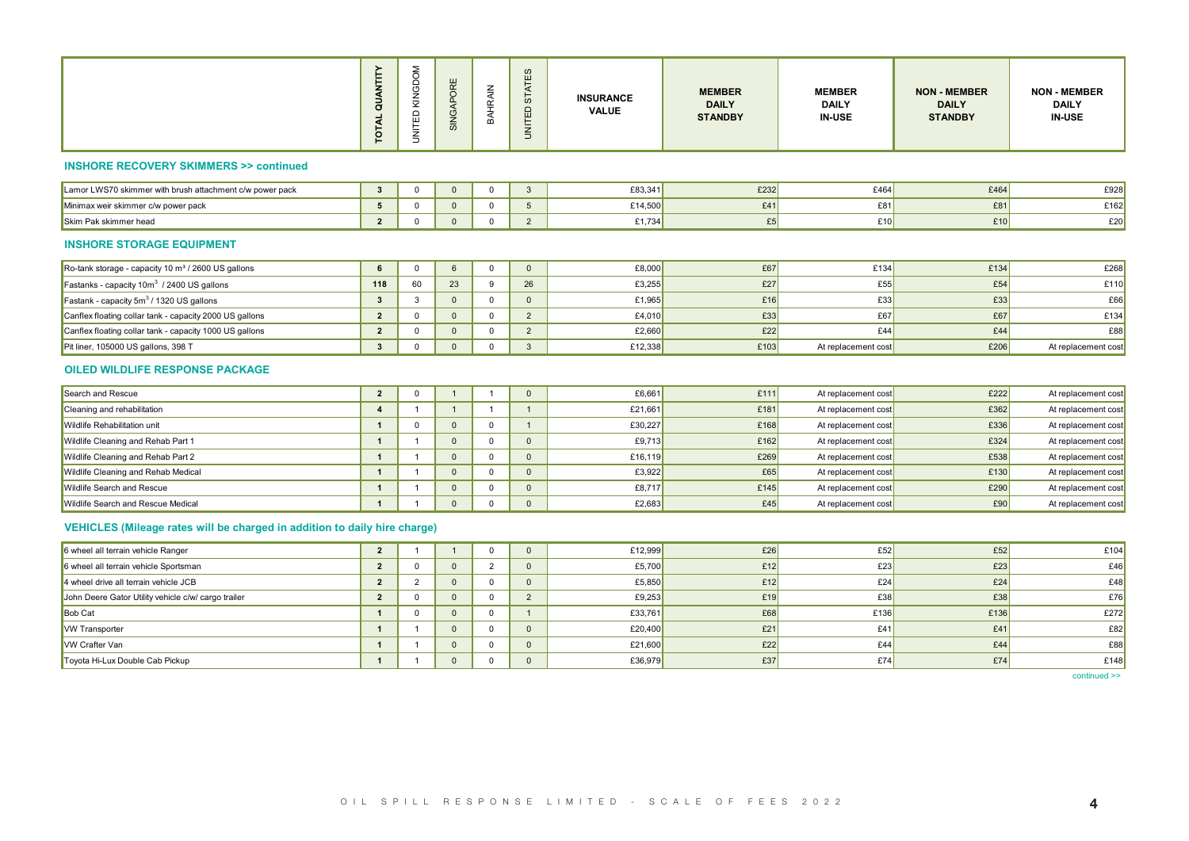|                                                                           | <b>QUANTITY</b><br>TOTAL           | ≅<br>ΓED                |                                       | $\leq$<br>ă                            | က<br>STAT<br><b>UNITED</b> | <b>INSURANCE</b><br><b>VALUE</b> | <b>MEMBER</b><br><b>DAILY</b><br><b>STANDBY</b> | <b>MEMBER</b><br><b>DAILY</b><br><b>IN-USE</b> | <b>NON - MEMBER</b><br><b>DAILY</b><br><b>STANDBY</b> | <b>NON - MEMBER</b><br><b>DAILY</b><br><b>IN-USE</b> |
|---------------------------------------------------------------------------|------------------------------------|-------------------------|---------------------------------------|----------------------------------------|----------------------------|----------------------------------|-------------------------------------------------|------------------------------------------------|-------------------------------------------------------|------------------------------------------------------|
| <b>INSHORE RECOVERY SKIMMERS &gt;&gt; continued</b>                       |                                    |                         |                                       |                                        |                            |                                  |                                                 |                                                |                                                       |                                                      |
| Lamor LWS70 skimmer with brush attachment c/w power pack                  | $\begin{array}{c c} 3 \end{array}$ | $\overline{\mathbf{0}}$ | $\begin{array}{c c} 0 \\ \end{array}$ | $\overline{\mathbf{0}}$                | $\overline{\mathbf{3}}$    | £83,341                          | £232                                            | £464                                           | £464                                                  | £928                                                 |
| Minimax weir skimmer c/w power pack                                       | 5 <sub>1</sub>                     | $\overline{\mathbf{0}}$ | $\overline{0}$                        | $\overline{0}$                         | $5^{\circ}$                | £14,500                          | £41                                             | E81                                            | £81                                                   | £162                                                 |
| Skim Pak skimmer head                                                     |                                    | $2 \mid 0$              |                                       | $\begin{array}{c c} 0 & 0 \end{array}$ | $\overline{2}$             | £1,734                           | E5                                              | £10                                            | £10                                                   | £20                                                  |
| <b>INSHORE STORAGE EQUIPMENT</b>                                          |                                    |                         |                                       |                                        |                            |                                  |                                                 |                                                |                                                       |                                                      |
| Ro-tank storage - capacity 10 m <sup>3</sup> / 2600 US gallons            | $6 \quad \vert$                    | $\overline{\mathbf{0}}$ | $6\overline{6}$                       | $\overline{0}$                         | $\overline{0}$             | £8,000                           | £67                                             | £134                                           | £134                                                  | £268                                                 |
| Fastanks - capacity 10m <sup>3</sup> / 2400 US gallons                    | 118                                | 60                      | 23                                    | 9                                      | 26                         | £3,255                           | £27                                             | E55                                            | £54                                                   | £11                                                  |
| Fastank - capacity 5m <sup>3</sup> / 1320 US gallons                      | $\overline{\mathbf{3}}$            | $\overline{\mathbf{3}}$ | $\overline{\mathbf{0}}$               | $\overline{\mathbf{0}}$                | $\overline{\mathbf{0}}$    | £1,965                           | £16                                             | E33                                            | E33                                                   | £6                                                   |
| Canflex floating collar tank - capacity 2000 US gallons                   | $\overline{\mathbf{2}}$            | $\overline{0}$          | $\overline{0}$                        | $\overline{\mathbf{0}}$                | $\overline{2}$             | £4,010                           | £33                                             | E67                                            | £67                                                   | £134                                                 |
| Canflex floating collar tank - capacity 1000 US gallons                   | $\overline{\mathbf{2}}$            | $\overline{0}$          | $\overline{0}$                        | $\overline{\mathbf{0}}$                | $\overline{2}$             | £2,660                           | £22                                             | £44                                            | £44                                                   | E8                                                   |
| Pit liner, 105000 US gallons, 398 T                                       |                                    | $3 \mid 0$              | $\begin{array}{c c} 0 \\ \end{array}$ | $\begin{array}{ccc} & 0 & \end{array}$ | $\overline{\mathbf{3}}$    | £12,338                          | £103                                            | At replacement cost                            | £206                                                  | At replacement cost                                  |
| OILED WILDLIFE RESPONSE PACKAGE                                           |                                    |                         |                                       |                                        |                            |                                  |                                                 |                                                |                                                       |                                                      |
| Search and Rescue                                                         | $\overline{\mathbf{2}}$            | $\overline{0}$          | $\overline{1}$                        | $\overline{1}$                         | $\overline{0}$             | £6,661                           | £111                                            | At replacement cost                            | £222                                                  | At replacement cost                                  |
| Cleaning and rehabilitation                                               | $\overline{\mathbf{4}}$            | $\overline{1}$          | $\vert$ 1 $\vert$                     | $\overline{1}$                         | $\overline{1}$             | £21,661                          | £181                                            | At replacement cost                            | £362                                                  | At replacement cost                                  |
| Wildlife Rehabilitation unit                                              | $\overline{1}$                     | $\overline{0}$          | $\begin{array}{c c} 0 \\ \end{array}$ | $\overline{\mathbf{0}}$                | $\overline{1}$             | £30,227                          | £168                                            | At replacement cost                            | £336                                                  | At replacement cost                                  |
| Wildlife Cleaning and Rehab Part 1                                        | $\overline{1}$                     | $\overline{1}$          | $\begin{array}{c c} 0 \\ \end{array}$ | $\overline{\mathbf{0}}$                | $\overline{\mathbf{0}}$    | £9,713                           | £162                                            | At replacement cost                            | £324                                                  | At replacement cost                                  |
| Wildlife Cleaning and Rehab Part 2                                        | $\overline{1}$                     | $\overline{1}$          | $\overline{0}$                        | $\overline{0}$                         | $\overline{\mathbf{0}}$    | £16,119                          | £269                                            | At replacement cost                            | £538                                                  | At replacement cost                                  |
| Wildlife Cleaning and Rehab Medical                                       | $\blacksquare$                     | $\overline{1}$          | $\overline{0}$                        | $\overline{\mathbf{0}}$                | $\overline{\mathbf{0}}$    | £3,922                           | £65                                             | At replacement cost                            | £130                                                  | At replacement cost                                  |
| Wildlife Search and Rescue                                                | $\overline{1}$                     | $\overline{1}$          | $\overline{0}$                        | $\overline{0}$                         | $\overline{0}$             | £8,717                           | £145                                            | At replacement cost                            | £290                                                  | At replacement cost                                  |
| Wildlife Search and Rescue Medical                                        | $\vert$ 1 $\vert$                  | $\overline{1}$          | $\begin{array}{c c} 0 \end{array}$    | $\overline{0}$                         | $\overline{0}$             | £2,683                           | £45                                             | At replacement cost                            | £90                                                   | At replacement cost                                  |
| VEHICLES (Mileage rates will be charged in addition to daily hire charge) |                                    |                         |                                       |                                        |                            |                                  |                                                 |                                                |                                                       |                                                      |
| 6 wheel all terrain vehicle Ranger                                        | $\overline{\mathbf{2}}$            | $\overline{1}$          | $\overline{1}$                        | $\overline{0}$                         | $\overline{\mathbf{0}}$    | £12,999                          | £26                                             | E52                                            | E52                                                   | £104                                                 |
| 6 wheel all terrain vehicle Sportsman                                     | $\overline{\mathbf{2}}$            | $\overline{\mathbf{0}}$ | $\begin{array}{c c} 0 \\ \end{array}$ | $\overline{2}$                         | $\overline{\mathbf{0}}$    | £5,700                           | £12                                             | E23                                            | E23                                                   | £4                                                   |
| 4 wheel drive all terrain vehicle JCB                                     | $\overline{2}$                     | $\overline{\mathbf{2}}$ | $\begin{array}{c c} 0 \\ \end{array}$ | $\overline{\mathbf{0}}$                | $\overline{\mathbf{0}}$    | £5,850                           | £12                                             | E24                                            | £24                                                   | £4                                                   |
| John Deere Gator Utility vehicle c/w/ cargo trailer                       | $\overline{\mathbf{2}}$            | $\overline{\mathbf{0}}$ | $\overline{\mathbf{0}}$               | $\overline{\mathbf{0}}$                | $\overline{2}$             | £9,253                           | £19                                             | E38                                            | £38                                                   | £76                                                  |
| Bob Cat                                                                   | $\blacksquare$                     | $\overline{0}$          | $\overline{\mathbf{0}}$               | $\overline{\mathbf{0}}$                | $\overline{1}$             | £33,761                          | £68                                             | £136                                           | £136                                                  | £27                                                  |
| <b>VW Transporter</b>                                                     | $\overline{1}$                     | $\overline{1}$          | $\overline{0}$                        | $\overline{\mathbf{0}}$                | $\overline{\mathbf{0}}$    | £20,400                          | E21                                             | £41                                            | £41                                                   | £82                                                  |
| VW Crafter Van                                                            | $\overline{1}$                     | $\overline{1}$          | $\overline{0}$                        | $\overline{\mathbf{0}}$                | $\overline{0}$             | £21,600                          | £22                                             | E44                                            | £44                                                   | £8                                                   |
| Toyota Hi-Lux Double Cab Pickup                                           | $\vert$ 1 $\vert$                  | $\overline{1}$          |                                       | $\overline{\mathbf{0}}$                | $\overline{0}$             | £36,979                          | £37                                             | £74                                            | £74                                                   | £148                                                 |

#### **INSHORE STORAGE EQUIPMENT**

| Ro-tank storage - capacity 10 $\mathrm{m}^3$ / 2600 US gallons |     |    |    | £8,000  | £67  | £134                | £134 | £268                |
|----------------------------------------------------------------|-----|----|----|---------|------|---------------------|------|---------------------|
| <b>Fastanks</b> - capacity $10m^3$ / 2400 US gallons           | 118 | 23 | 26 | £3,255  | £27  | £55                 | £54  | £110                |
| <b>Fastank</b> - capacity $5m3$ / 1320 US gallons              |     |    |    | £1.965  | £16  | E33                 | £33  | £66                 |
| Canflex floating collar tank - capacity 2000 US gallons        |     |    |    | £4.010  | £331 | £67                 | £67  | £134                |
| Canflex floating collar tank - capacity 1000 US gallons        |     |    |    | £2,660  | £22  | £44                 | £44  | E88                 |
| Pit liner, 105000 US gallons, 398 T                            |     |    |    | £12,338 | £103 | At replacement cost | £206 | At replacement cost |

#### **OILED WILDLIFE RESPONSE PACKAGE**

| Search and Rescue                   |  |  | £6,661  | £111 | At replacement cost | £222 | At replacement cost |
|-------------------------------------|--|--|---------|------|---------------------|------|---------------------|
| Cleaning and rehabilitation         |  |  | £21,661 | £181 | At replacement cost | £362 | At replacement cost |
| Wildlife Rehabilitation unit        |  |  | £30.227 | £168 | At replacement cost | £336 | At replacement cost |
| Wildlife Cleaning and Rehab Part 1  |  |  | £9.713  | £162 | At replacement cost | £324 | At replacement cost |
| Wildlife Cleaning and Rehab Part 2  |  |  | £16,119 | £269 | At replacement cost | £538 | At replacement cost |
| Wildlife Cleaning and Rehab Medical |  |  | £3.922  | £65  | At replacement cost | £130 | At replacement cost |
| <b>Wildlife Search and Rescue</b>   |  |  | £8,717  | £145 | At replacement cost | £290 | At replacement cost |
| Wildlife Search and Rescue Medical  |  |  | £2,683  | £45  | At replacement cost | £90  | At replacement cost |

## **VEHICLES (Mileage rates will be charged in addition to daily hire charge)**

| 6 wheel all terrain vehicle Ranger                  |  |  | £12,999 | £26 | £52  | £52  | £104 |
|-----------------------------------------------------|--|--|---------|-----|------|------|------|
| 6 wheel all terrain vehicle Sportsman               |  |  | £5,700  | £12 | E23  | £23  | £46  |
| 4 wheel drive all terrain vehicle JCB               |  |  | £5,850  | £12 | £24  | £24  | £48  |
| John Deere Gator Utility vehicle c/w/ cargo trailer |  |  | £9,253  | £19 | £38  | £38  | £76  |
| <b>Bob Cat</b>                                      |  |  | £33.761 | £68 | £136 | £136 | £272 |
| <b>VW Transporter</b>                               |  |  | £20,400 | £21 | £41  | £41  | E82  |
| VW Crafter Van                                      |  |  | £21,600 | £22 | £44  | £44  | E88  |
| Toyota Hi-Lux Double Cab Pickup                     |  |  | £36,979 | £37 | £74  | £74  | £148 |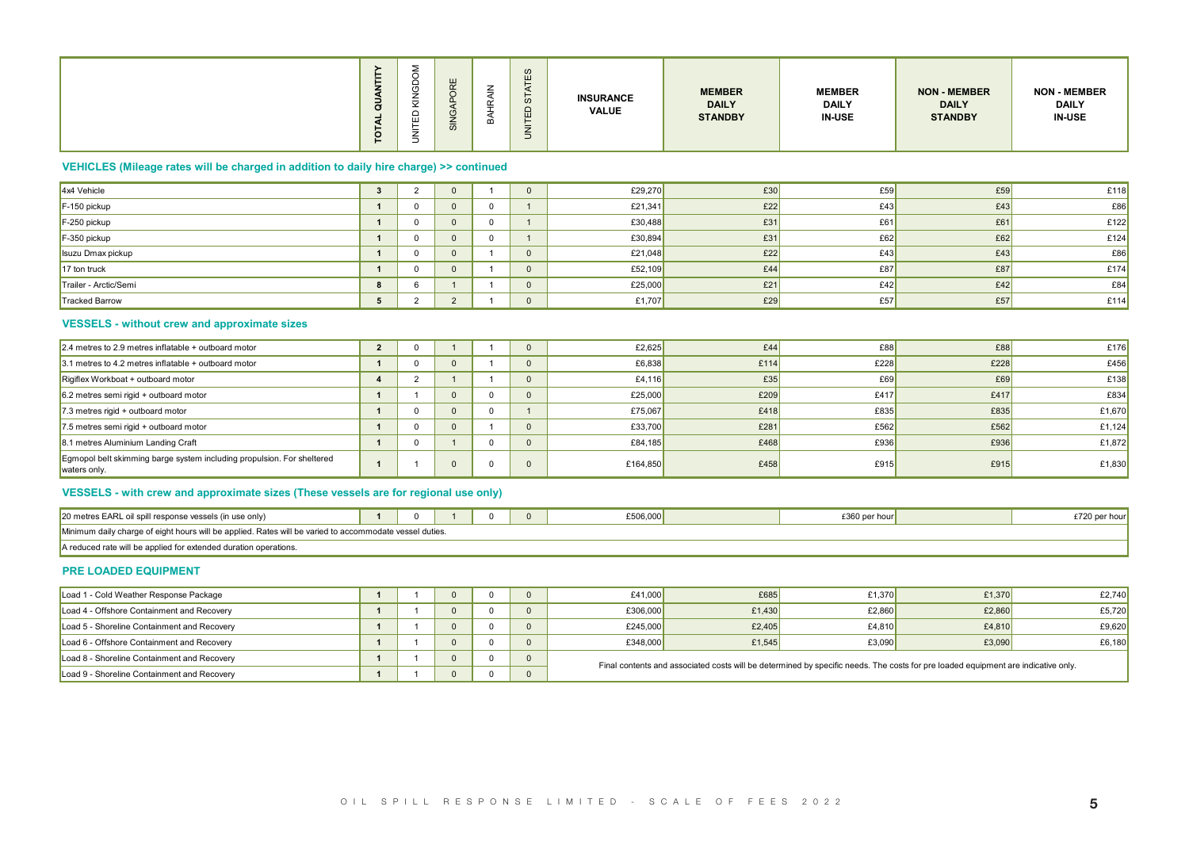|  | $\vec{a}$ | -<br>- | ш<br>-<br>≔ |  |  | <b>INSURANCE</b><br><b>VALUE</b> | <b>MEMBER</b><br><b>DAILY</b><br><b>STANDBY</b> | <b>MEMBER</b><br><b>DAILY</b><br><b>IN-USE</b> | <b>NON - MEMBER</b><br><b>DAILY</b><br><b>STANDBY</b> | <b>NON - MEMBER</b><br><b>DAILY</b><br><b>IN-USE</b> |
|--|-----------|--------|-------------|--|--|----------------------------------|-------------------------------------------------|------------------------------------------------|-------------------------------------------------------|------------------------------------------------------|
|--|-----------|--------|-------------|--|--|----------------------------------|-------------------------------------------------|------------------------------------------------|-------------------------------------------------------|------------------------------------------------------|

## **VEHICLES (Mileage rates will be charged in addition to daily hire charge) >> continued**

| $4x4$ Vehicle         |  |  | £29,270 | £30 | £59 | £59 | £118 |
|-----------------------|--|--|---------|-----|-----|-----|------|
| $F-150$ pickup        |  |  | £21,341 | £22 | £43 | £43 | E86  |
| $F-250$ pickup        |  |  | £30,488 | £31 | £61 | £61 | £122 |
| $F-350$ pickup        |  |  | £30,894 | £31 | £62 | £62 | £124 |
| Isuzu Dmax pickup     |  |  | £21,048 | £22 | £43 | £43 | £86  |
| $17$ ton truck        |  |  | £52,109 | £44 | £87 | £87 | £174 |
| Trailer - Arctic/Semi |  |  | £25,000 | £21 | £42 | £42 | E84  |
| Tracked Barrow        |  |  | £1,707  | £29 | £57 | £57 | £114 |

## **VESSELS - without crew and approximate sizes**

| VEHICLES (Mileage rates will be charged in addition to daily hire charge) >> continued<br>4x4 Vehicle<br>F-150 pickup<br>F-250 pickup<br>F-350 pickup<br>Isuzu Dmax pickup<br>17 ton truck<br>Trailer - Arctic/Semi<br>Tracked Barrow<br><b>VESSELS - without crew and approximate sizes</b><br>2.4 metres to 2.9 metres inflatable + outboard motor<br>3.1 metres to 4.2 metres inflatable + outboard motor<br>Rigiflex Workboat + outboard motor<br>6.2 metres semi rigid + outboard motor<br>7.3 metres rigid + outboard motor<br>7.5 metres semi rigid + outboard motor | $3 \mid$<br>$\vert$ 1 $\vert$<br>$\mathbf{1}$<br>$\overline{1}$<br>$\overline{1}$<br>$\overline{1}$<br>8 <sup>1</sup><br>$\overline{1}$<br>$\sim$ 4 | $\overline{2}$<br>$\overline{0}$<br>$\overline{0}$<br>$\overline{\mathbf{0}}$<br>$\overline{0}$<br>$\overline{0}$<br>$6\overline{6}$<br>$5 \mid 2$<br>$2 \mid 0$ | $\overline{0}$<br>$\overline{\mathbf{0}}$<br>$\overline{0}$<br>$\overline{0}$<br>$\overline{0}$<br>$\overline{0}$<br>$\overline{1}$<br>$\overline{\mathbf{2}}$ | $\overline{1}$<br>$\overline{0}$<br>$\overline{0}$<br>$\overline{0}$<br>$\overline{1}$<br>$\overline{1}$<br>$\overline{1}$<br>$\overline{1}$ | $\overline{\mathbf{0}}$<br>$\blacksquare$ 1<br>$\overline{1}$<br>$\blacksquare$ 1<br>$\overline{\phantom{0}}$<br>$\overline{\phantom{0}}$<br>$\overline{\phantom{0}}$<br>$\overline{\mathbf{0}}$ | £29,270<br>£21,341<br>£30,488<br>£30,894<br>£21,048<br>£52,109<br>£25,000<br>£1,707 | £30<br>E22<br>E31<br>£31<br>E22<br>£44<br>£21<br>£29                                                                              | £59<br>£43<br>£61<br>E62<br>£43<br>£87<br>£42 | E59<br>£43<br>£61<br>E62<br>£43<br>£87 | £118<br>E86<br>£122<br>£124<br>E86 |
|-----------------------------------------------------------------------------------------------------------------------------------------------------------------------------------------------------------------------------------------------------------------------------------------------------------------------------------------------------------------------------------------------------------------------------------------------------------------------------------------------------------------------------------------------------------------------------|-----------------------------------------------------------------------------------------------------------------------------------------------------|------------------------------------------------------------------------------------------------------------------------------------------------------------------|----------------------------------------------------------------------------------------------------------------------------------------------------------------|----------------------------------------------------------------------------------------------------------------------------------------------|--------------------------------------------------------------------------------------------------------------------------------------------------------------------------------------------------|-------------------------------------------------------------------------------------|-----------------------------------------------------------------------------------------------------------------------------------|-----------------------------------------------|----------------------------------------|------------------------------------|
|                                                                                                                                                                                                                                                                                                                                                                                                                                                                                                                                                                             |                                                                                                                                                     |                                                                                                                                                                  |                                                                                                                                                                |                                                                                                                                              |                                                                                                                                                                                                  |                                                                                     |                                                                                                                                   |                                               |                                        |                                    |
|                                                                                                                                                                                                                                                                                                                                                                                                                                                                                                                                                                             |                                                                                                                                                     |                                                                                                                                                                  |                                                                                                                                                                |                                                                                                                                              |                                                                                                                                                                                                  |                                                                                     |                                                                                                                                   |                                               |                                        |                                    |
|                                                                                                                                                                                                                                                                                                                                                                                                                                                                                                                                                                             |                                                                                                                                                     |                                                                                                                                                                  |                                                                                                                                                                |                                                                                                                                              |                                                                                                                                                                                                  |                                                                                     |                                                                                                                                   |                                               |                                        |                                    |
|                                                                                                                                                                                                                                                                                                                                                                                                                                                                                                                                                                             |                                                                                                                                                     |                                                                                                                                                                  |                                                                                                                                                                |                                                                                                                                              |                                                                                                                                                                                                  |                                                                                     |                                                                                                                                   |                                               |                                        |                                    |
|                                                                                                                                                                                                                                                                                                                                                                                                                                                                                                                                                                             |                                                                                                                                                     |                                                                                                                                                                  |                                                                                                                                                                |                                                                                                                                              |                                                                                                                                                                                                  |                                                                                     |                                                                                                                                   |                                               |                                        |                                    |
|                                                                                                                                                                                                                                                                                                                                                                                                                                                                                                                                                                             |                                                                                                                                                     |                                                                                                                                                                  |                                                                                                                                                                |                                                                                                                                              |                                                                                                                                                                                                  |                                                                                     |                                                                                                                                   |                                               |                                        |                                    |
|                                                                                                                                                                                                                                                                                                                                                                                                                                                                                                                                                                             |                                                                                                                                                     |                                                                                                                                                                  |                                                                                                                                                                |                                                                                                                                              |                                                                                                                                                                                                  |                                                                                     |                                                                                                                                   |                                               |                                        | £174                               |
|                                                                                                                                                                                                                                                                                                                                                                                                                                                                                                                                                                             |                                                                                                                                                     |                                                                                                                                                                  |                                                                                                                                                                |                                                                                                                                              |                                                                                                                                                                                                  |                                                                                     |                                                                                                                                   |                                               | £42                                    | E84                                |
|                                                                                                                                                                                                                                                                                                                                                                                                                                                                                                                                                                             |                                                                                                                                                     |                                                                                                                                                                  |                                                                                                                                                                |                                                                                                                                              |                                                                                                                                                                                                  |                                                                                     |                                                                                                                                   | E57                                           | E57                                    | £114                               |
|                                                                                                                                                                                                                                                                                                                                                                                                                                                                                                                                                                             |                                                                                                                                                     |                                                                                                                                                                  |                                                                                                                                                                |                                                                                                                                              |                                                                                                                                                                                                  |                                                                                     |                                                                                                                                   |                                               |                                        |                                    |
|                                                                                                                                                                                                                                                                                                                                                                                                                                                                                                                                                                             |                                                                                                                                                     |                                                                                                                                                                  | $\overline{1}$                                                                                                                                                 | $\overline{1}$                                                                                                                               | $\overline{\mathbf{0}}$                                                                                                                                                                          | £2,625                                                                              | E44                                                                                                                               | E88                                           | £88                                    | £176                               |
|                                                                                                                                                                                                                                                                                                                                                                                                                                                                                                                                                                             |                                                                                                                                                     | $\overline{0}$                                                                                                                                                   | $\overline{0}$                                                                                                                                                 | $\overline{1}$                                                                                                                               | $\overline{\mathbf{0}}$                                                                                                                                                                          | £6,838                                                                              | £114                                                                                                                              | £228                                          | £228                                   | £456                               |
|                                                                                                                                                                                                                                                                                                                                                                                                                                                                                                                                                                             |                                                                                                                                                     | $\overline{2}$                                                                                                                                                   | $\overline{1}$                                                                                                                                                 | $\overline{1}$                                                                                                                               | $\overline{\phantom{0}}$                                                                                                                                                                         | £4,116                                                                              | £35                                                                                                                               | E69                                           | E69                                    | £138                               |
|                                                                                                                                                                                                                                                                                                                                                                                                                                                                                                                                                                             | $\overline{1}$                                                                                                                                      | $\overline{1}$                                                                                                                                                   | $\overline{0}$                                                                                                                                                 | $\overline{0}$                                                                                                                               | $\overline{\phantom{0}}$                                                                                                                                                                         | £25,000                                                                             | £209                                                                                                                              | £417                                          | £417                                   | £834                               |
|                                                                                                                                                                                                                                                                                                                                                                                                                                                                                                                                                                             | $\overline{1}$                                                                                                                                      | $\overline{\mathbf{0}}$                                                                                                                                          | $\overline{\mathbf{0}}$                                                                                                                                        | $\overline{0}$                                                                                                                               | $\overline{1}$                                                                                                                                                                                   | £75,067                                                                             | £418                                                                                                                              | £835                                          | £835                                   | £1,670                             |
|                                                                                                                                                                                                                                                                                                                                                                                                                                                                                                                                                                             | $\overline{1}$                                                                                                                                      | $\overline{0}$                                                                                                                                                   | $\overline{\mathbf{0}}$                                                                                                                                        | $\overline{1}$                                                                                                                               | $\overline{\mathbf{0}}$                                                                                                                                                                          | £33,700                                                                             | £281                                                                                                                              | £562                                          | £562                                   | £1,124                             |
| 8.1 metres Aluminium Landing Craft                                                                                                                                                                                                                                                                                                                                                                                                                                                                                                                                          | $1 \quad$                                                                                                                                           | $\overline{\mathbf{0}}$                                                                                                                                          | $\overline{1}$                                                                                                                                                 | $\overline{0}$                                                                                                                               | $\overline{\phantom{0}}$                                                                                                                                                                         | £84,185                                                                             | £468                                                                                                                              | £936                                          | £936                                   | £1,872                             |
| Egmopol belt skimming barge system including propulsion. For sheltered<br>waters only.                                                                                                                                                                                                                                                                                                                                                                                                                                                                                      | $\mathbf{1}$                                                                                                                                        | $\overline{1}$                                                                                                                                                   | $\overline{0}$                                                                                                                                                 | $\overline{0}$                                                                                                                               | $\overline{\mathbf{0}}$                                                                                                                                                                          | £164,850                                                                            | £458                                                                                                                              | £915                                          | £915                                   | £1,830                             |
| VESSELS - with crew and approximate sizes (These vessels are for regional use only)                                                                                                                                                                                                                                                                                                                                                                                                                                                                                         |                                                                                                                                                     |                                                                                                                                                                  |                                                                                                                                                                |                                                                                                                                              |                                                                                                                                                                                                  |                                                                                     |                                                                                                                                   |                                               |                                        |                                    |
| 20 metres EARL oil spill response vessels (in use only)                                                                                                                                                                                                                                                                                                                                                                                                                                                                                                                     |                                                                                                                                                     |                                                                                                                                                                  | $\overline{1}$                                                                                                                                                 | $\begin{array}{c c} 0 & \end{array}$                                                                                                         | $\overline{\mathbf{0}}$                                                                                                                                                                          | £506,000                                                                            |                                                                                                                                   | £360 per hour                                 |                                        | £720 per hour                      |
| Minimum daily charge of eight hours will be applied. Rates will be varied to accommodate vessel duties.                                                                                                                                                                                                                                                                                                                                                                                                                                                                     |                                                                                                                                                     |                                                                                                                                                                  |                                                                                                                                                                |                                                                                                                                              |                                                                                                                                                                                                  |                                                                                     |                                                                                                                                   |                                               |                                        |                                    |
| A reduced rate will be applied for extended duration operations.                                                                                                                                                                                                                                                                                                                                                                                                                                                                                                            |                                                                                                                                                     |                                                                                                                                                                  |                                                                                                                                                                |                                                                                                                                              |                                                                                                                                                                                                  |                                                                                     |                                                                                                                                   |                                               |                                        |                                    |
| PRE LOADED EQUIPMENT                                                                                                                                                                                                                                                                                                                                                                                                                                                                                                                                                        |                                                                                                                                                     |                                                                                                                                                                  |                                                                                                                                                                |                                                                                                                                              |                                                                                                                                                                                                  |                                                                                     |                                                                                                                                   |                                               |                                        |                                    |
| Load 1 - Cold Weather Response Package                                                                                                                                                                                                                                                                                                                                                                                                                                                                                                                                      | $1 \quad$                                                                                                                                           | $\overline{1}$                                                                                                                                                   | $\overline{0}$                                                                                                                                                 | $\overline{0}$                                                                                                                               | $\overline{\mathbf{0}}$                                                                                                                                                                          | £41,000                                                                             | £685                                                                                                                              | £1,370                                        | £1,370                                 | £2,740                             |
| Load 4 - Offshore Containment and Recovery                                                                                                                                                                                                                                                                                                                                                                                                                                                                                                                                  | $\mathbf{1}$                                                                                                                                        | $\overline{1}$                                                                                                                                                   | $\overline{0}$                                                                                                                                                 | $\overline{0}$                                                                                                                               | $\overline{\phantom{0}}$                                                                                                                                                                         | £306,000                                                                            | £1,430                                                                                                                            | £2,860                                        | £2,860                                 | £5,720                             |
| Load 5 - Shoreline Containment and Recovery                                                                                                                                                                                                                                                                                                                                                                                                                                                                                                                                 | $\overline{1}$                                                                                                                                      | $\overline{1}$                                                                                                                                                   | $\overline{\mathbf{0}}$                                                                                                                                        | $\overline{0}$                                                                                                                               | $\overline{\mathbf{0}}$                                                                                                                                                                          | £245,000                                                                            | £2,405                                                                                                                            | £4,810                                        | £4,810                                 | £9,620                             |
| Load 6 - Offshore Containment and Recovery                                                                                                                                                                                                                                                                                                                                                                                                                                                                                                                                  | $\overline{1}$                                                                                                                                      | $\overline{1}$                                                                                                                                                   | $\overline{\mathbf{0}}$                                                                                                                                        | $\overline{0}$                                                                                                                               | $\overline{\phantom{0}}$                                                                                                                                                                         | £348,000                                                                            | £1,545                                                                                                                            | £3,090                                        | £3,090                                 | £6,180                             |
| Load 8 - Shoreline Containment and Recovery                                                                                                                                                                                                                                                                                                                                                                                                                                                                                                                                 | $\overline{1}$                                                                                                                                      | $\overline{1}$                                                                                                                                                   | $\overline{0}$                                                                                                                                                 |                                                                                                                                              | $0 \quad 0$                                                                                                                                                                                      |                                                                                     | Final contents and associated costs will be determined by specific needs. The costs for pre loaded equipment are indicative only. |                                               |                                        |                                    |
| Load 9 - Shoreline Containment and Recovery                                                                                                                                                                                                                                                                                                                                                                                                                                                                                                                                 | $1 \quad$                                                                                                                                           | $\overline{1}$                                                                                                                                                   | $\overline{\mathbf{0}}$                                                                                                                                        | $\overline{0}$                                                                                                                               | $\overline{\mathbf{0}}$                                                                                                                                                                          |                                                                                     |                                                                                                                                   |                                               |                                        |                                    |

## **VESSELS - with crew and approximate sizes (These vessels are for regional use only)**

| 20 metres EARL oil spill response vessels (in use only)                                                 |  |  |  |  |  | £506.000 | \$360 per hour |  |  |  |  |  |  |
|---------------------------------------------------------------------------------------------------------|--|--|--|--|--|----------|----------------|--|--|--|--|--|--|
| Minimum daily charge of eight hours will be applied. Rates will be varied to accommodate vessel duties. |  |  |  |  |  |          |                |  |  |  |  |  |  |
| A reduced rate will be applied for extended duration operations.                                        |  |  |  |  |  |          |                |  |  |  |  |  |  |

#### **PRE LOADED EQUIPMENT**

| Load 1 - Cold Weather Response Package      |  |  | £41,000  | £685                                                                                                                              | £1.370 | £1.370 | £2.740 |
|---------------------------------------------|--|--|----------|-----------------------------------------------------------------------------------------------------------------------------------|--------|--------|--------|
| Load 4 - Offshore Containment and Recovery  |  |  | £306,000 | £1,430                                                                                                                            | £2.860 | £2.860 | £5,720 |
| Load 5 - Shoreline Containment and Recovery |  |  | £245,000 | £2,405                                                                                                                            | £4.810 | £4.810 | £9,620 |
| Load 6 - Offshore Containment and Recovery  |  |  | £348,000 | £1.545                                                                                                                            | £3,090 | £3,090 | £6,180 |
| Load 8 - Shoreline Containment and Recovery |  |  |          | Final contents and associated costs will be determined by specific needs. The costs for pre loaded equipment are indicative only. |        |        |        |
| Load 9 - Shoreline Containment and Recovery |  |  |          |                                                                                                                                   |        |        |        |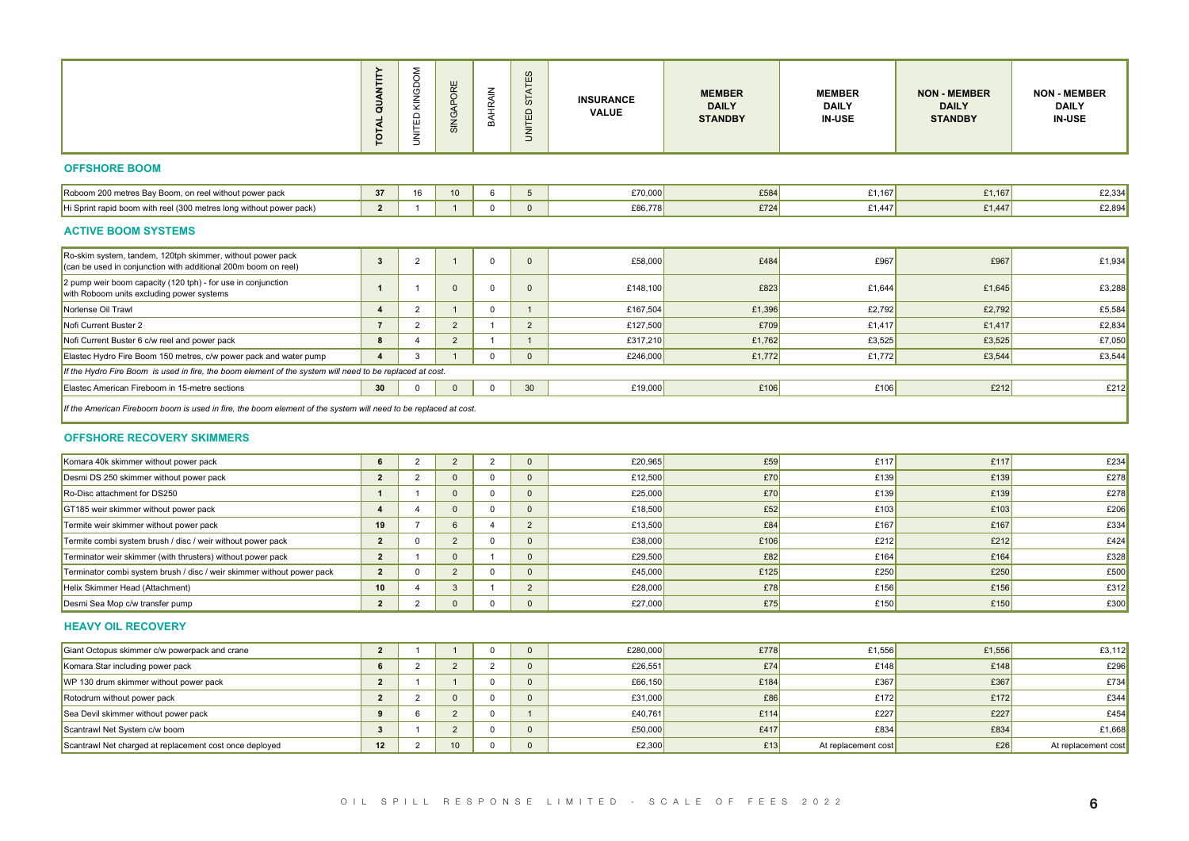|                                                                                                                              | WTIT<br>$\vec{a}$<br><b>TOTAL</b> | UNITED KII              | SIN                                        |                         | S<br>্ব<br>စ<br>品                      | <b>INSURANCE</b><br><b>VALUE</b> | <b>MEMBER</b><br><b>DAILY</b><br><b>STANDBY</b> | <b>MEMBER</b><br><b>DAILY</b><br><b>IN-USE</b> | <b>NON - MEMBER</b><br><b>DAILY</b><br><b>STANDBY</b> | <b>NON - MEMBER</b><br><b>DAILY</b><br><b>IN-USE</b> |
|------------------------------------------------------------------------------------------------------------------------------|-----------------------------------|-------------------------|--------------------------------------------|-------------------------|----------------------------------------|----------------------------------|-------------------------------------------------|------------------------------------------------|-------------------------------------------------------|------------------------------------------------------|
| <b>OFFSHORE BOOM</b>                                                                                                         |                                   |                         |                                            |                         |                                        |                                  |                                                 |                                                |                                                       |                                                      |
| Roboom 200 metres Bay Boom, on reel without power pack                                                                       | 37                                | 16                      | 10                                         | 6                       | 5 <sup>5</sup>                         | £70,000                          | £584                                            | £1,167                                         | £1,167                                                | E2,334                                               |
| Hi Sprint rapid boom with reel (300 metres long without power pack)                                                          | $\overline{2}$                    | $\overline{1}$          | $\overline{1}$                             | $\overline{0}$          | $\overline{0}$                         | £86,778                          | £724                                            | £1,447                                         | £1,447                                                | £2,894                                               |
| <b>ACTIVE BOOM SYSTEMS</b>                                                                                                   |                                   |                         |                                            |                         |                                        |                                  |                                                 |                                                |                                                       |                                                      |
| Ro-skim system, tandem, 120tph skimmer, without power pack<br>(can be used in conjunction with additional 200m boom on reel) | 3 <sup>1</sup>                    | $\overline{2}$          | $\overline{1}$                             | $\overline{0}$          | $\overline{0}$                         | £58,000                          | £484                                            | £967                                           | £967                                                  | £1,934                                               |
| 2 pump weir boom capacity (120 tph) - for use in conjunction<br>with Roboom units excluding power systems                    |                                   |                         | $\mathbf{0}$                               | $\Omega$                | $\overline{0}$                         | £148,100                         | £823                                            | £1,644                                         | £1,645                                                | £3,288                                               |
| Norlense Oil Trawl                                                                                                           | $\sim$ 4                          | $\overline{\mathbf{2}}$ | $\begin{array}{ccc} \end{array}$ 1         | $\overline{0}$          | $\overline{1}$                         | £167,504                         | £1,396                                          | £2,792                                         | £2,792                                                | £5,584                                               |
| Nofi Current Buster 2                                                                                                        | $\overline{7}$                    | $\overline{2}$          | $\overline{\mathbf{2}}$                    | $\overline{1}$          | $\overline{2}$                         | £127,500                         | £709                                            | £1,417                                         | £1,417                                                | £2,834                                               |
| Nofi Current Buster 6 c/w reel and power pack                                                                                | 8 <sup>1</sup>                    | $\overline{4}$          | $\overline{\mathbf{2}}$                    | $\overline{1}$          | $\overline{1}$                         | £317,210                         | £1,762                                          | £3,525                                         | £3,525                                                | £7,050                                               |
| Elastec Hydro Fire Boom 150 metres, c/w power pack and water pump                                                            | $\vert$ 4 $\vert$                 | $\overline{\mathbf{3}}$ | $\sim$ 1                                   | $\overline{0}$          | $\overline{\mathbf{0}}$                | £246,000                         | £1,772                                          | £1,772                                         | £3,544                                                | £3,544                                               |
| If the Hydro Fire Boom is used in fire, the boom element of the system will need to be replaced at cost.                     |                                   |                         |                                            |                         |                                        |                                  |                                                 |                                                |                                                       |                                                      |
| Elastec American Fireboom in 15-metre sections                                                                               | 30                                | $\overline{0}$          | $\overline{\mathbf{0}}$                    | $\overline{0}$          | 30 <sup>2</sup>                        | £19,000                          | £106                                            | £106                                           | E212                                                  | E212                                                 |
| If the American Fireboom boom is used in fire, the boom element of the system will need to be replaced at cost.              |                                   |                         |                                            |                         |                                        |                                  |                                                 |                                                |                                                       |                                                      |
|                                                                                                                              |                                   |                         |                                            |                         |                                        |                                  |                                                 |                                                |                                                       |                                                      |
| <b>OFFSHORE RECOVERY SKIMMERS</b>                                                                                            |                                   |                         |                                            |                         |                                        |                                  |                                                 |                                                |                                                       |                                                      |
| Komara 40k skimmer without power pack                                                                                        | $6 \quad  $                       | $\overline{2}$          | $\begin{array}{ccc} \n & 2 \n \end{array}$ | $\overline{2}$          | $\overline{\mathbf{0}}$                | £20,965                          | £59                                             | £117                                           | £117                                                  | £234                                                 |
| Desmi DS 250 skimmer without power pack                                                                                      | $\overline{2}$                    | $\overline{2}$          | $\overline{\mathbf{0}}$                    | $\overline{0}$          | $\overline{\mathbf{0}}$                | £12,500                          | E70                                             | £139                                           | £139                                                  | £278                                                 |
| Ro-Disc attachment for DS250                                                                                                 | $\overline{1}$                    | $\overline{1}$          | $\overline{\mathbf{0}}$                    | $\overline{0}$          | $\overline{0}$                         | £25,000                          | E70                                             | £139                                           | £139                                                  | £278                                                 |
| GT185 weir skimmer without power pack                                                                                        | $\overline{4}$                    | $\overline{4}$          | $\overline{\mathbf{0}}$                    | $\overline{0}$          | $\overline{\mathbf{0}}$                | £18,500                          | E52                                             | £103                                           | £103                                                  | £206                                                 |
| Termite weir skimmer without power pack                                                                                      | 19                                | $\overline{7}$          | 6                                          | $\overline{4}$          | $\overline{2}$                         | £13,500                          | E84                                             | £167                                           | £167                                                  | £334                                                 |
| Termite combi system brush / disc / weir without power pack                                                                  | $\overline{\mathbf{2}}$           | $\overline{0}$          | $\overline{\mathbf{2}}$                    | $\overline{0}$          | $\overline{\mathbf{0}}$                | £38,000                          | £106                                            | £212                                           | E212                                                  | £424                                                 |
| Terminator weir skimmer (with thrusters) without power pack                                                                  | $\overline{\mathbf{2}}$           | $\overline{1}$          | $\overline{\mathbf{0}}$                    | $\overline{1}$          | $\overline{0}$                         | £29,500                          | E82                                             | £164                                           | £164                                                  | £328                                                 |
| Terminator combi system brush / disc / weir skimmer without power pack                                                       | $\vert$ 2 $\vert$                 | $\overline{0}$          | $\overline{2}$                             | $\overline{0}$          | $\overline{0}$                         | £45,000                          | £125                                            | £250                                           | £250                                                  | £500                                                 |
| Helix Skimmer Head (Attachment)                                                                                              | 10                                | $\overline{4}$          | $\overline{\mathbf{3}}$                    | $\overline{1}$          | $\overline{2}$                         | £28,000                          | £78                                             | £156                                           | £156                                                  | £312                                                 |
| Desmi Sea Mop c/w transfer pump                                                                                              | $\overline{2}$                    | $\overline{\mathbf{2}}$ |                                            | $\overline{0}$          | $\overline{\mathbf{0}}$                | £27,000                          | £75                                             | £150                                           | £150                                                  | £300                                                 |
| <b>HEAVY OIL RECOVERY</b>                                                                                                    |                                   |                         |                                            |                         |                                        |                                  |                                                 |                                                |                                                       |                                                      |
| Giant Octopus skimmer c/w powerpack and crane                                                                                | $\vert$ 2 $\vert$                 | $\overline{1}$          | $\overline{1}$                             | $\overline{0}$          | $\overline{0}$                         | £280,000                         | £778                                            | £1,556                                         | £1,556                                                | £3,112                                               |
| Komara Star including power pack                                                                                             | 6 <sup>1</sup>                    | $\overline{2}$          | $\overline{\mathbf{2}}$                    | $\overline{2}$          | $\overline{\mathbf{0}}$                | £26,551                          | £74                                             | £148                                           | £148                                                  | £296                                                 |
| WP 130 drum skimmer without power pack                                                                                       | $\overline{2}$                    | $\overline{1}$          | $\overline{1}$                             | $\overline{0}$          | $\overline{0}$                         | £66,150                          | £184                                            | £367                                           | £367                                                  | £734                                                 |
|                                                                                                                              |                                   |                         | 2 2 0                                      |                         | $\begin{array}{c c} 0 & 0 \end{array}$ | £31,000                          | £86                                             | £172                                           | £172                                                  | £344                                                 |
| Rotodrum without power pack                                                                                                  | 9                                 |                         | $6 \mid 2 \mid$                            | $\overline{0}$          | $\overline{1}$                         | £40,761                          | £114                                            | £227                                           | £227                                                  | £454                                                 |
| Sea Devil skimmer without power pack                                                                                         |                                   |                         |                                            |                         |                                        | £50,000                          | £417                                            | £834                                           | £834                                                  | £1,668                                               |
| Scantrawl Net System c/w boom<br>Scantrawl Net charged at replacement cost once deployed                                     | $\overline{\mathbf{3}}$           |                         | $1 \mid 2 \mid$<br>12   2   10             | $\overline{\mathbf{0}}$ | $\overline{\phantom{0}}$               | £2,300                           | £13                                             | At replacement cost                            | £26                                                   | At replacement cost                                  |

## **OFFSHORE RECOVERY SKIMMERS**

| Komara 40k skimmer without power pack                                  |    |  |  | £20,965 | £59  | £117 | £117 | £234 |
|------------------------------------------------------------------------|----|--|--|---------|------|------|------|------|
| Desmi DS 250 skimmer without power pack                                |    |  |  | £12,500 | £70  | £139 | £139 | £278 |
| Ro-Disc attachment for DS250                                           |    |  |  | £25,000 | £70  | £139 | £139 | £278 |
| GT185 weir skimmer without power pack                                  |    |  |  | £18,500 | £52  | £103 | £103 | £206 |
| Termite weir skimmer without power pack                                | 19 |  |  | £13,500 | £84  | £167 | £167 | £334 |
| Termite combi system brush / disc / weir without power pack            |    |  |  | £38,000 | £106 | £212 | £212 | £424 |
| Terminator weir skimmer (with thrusters) without power pack            |    |  |  | £29,500 | £82  | £164 | £164 | £328 |
| Terminator combi system brush / disc / weir skimmer without power pack |    |  |  | £45,000 | £125 | £250 | £250 | £500 |
| Helix Skimmer Head (Attachment)                                        | 10 |  |  | £28,000 | £78  | £156 | £156 | £312 |
| Desmi Sea Mop c/w transfer pump                                        |    |  |  | £27,000 | £75  | £150 | £150 | £300 |

#### **HEAVY OIL RECOVERY**

| Giant Octopus skimmer c/w powerpack and crane           |    |  |  | £280,000 | £778 | £1,556              | £1,556 | £3,112              |
|---------------------------------------------------------|----|--|--|----------|------|---------------------|--------|---------------------|
| Komara Star including power pack                        |    |  |  | £26,551  | £74  | £148                | £148   | £296                |
| WP 130 drum skimmer without power pack                  |    |  |  | £66,150  | £184 | £367                | £367   | £734                |
| Rotodrum without power pack                             |    |  |  | £31,000  | £86  | £172                | £172   | £344                |
| Sea Devil skimmer without power pack                    |    |  |  | £40.761  | £114 | £227                | £227   | £454                |
| Scantrawl Net System c/w boom                           |    |  |  | £50,000  | £417 | £834                | £834   | £1,668              |
| Scantrawl Net charged at replacement cost once deployed | 12 |  |  | £2,300   | £13  | At replacement cost | £26    | At replacement cost |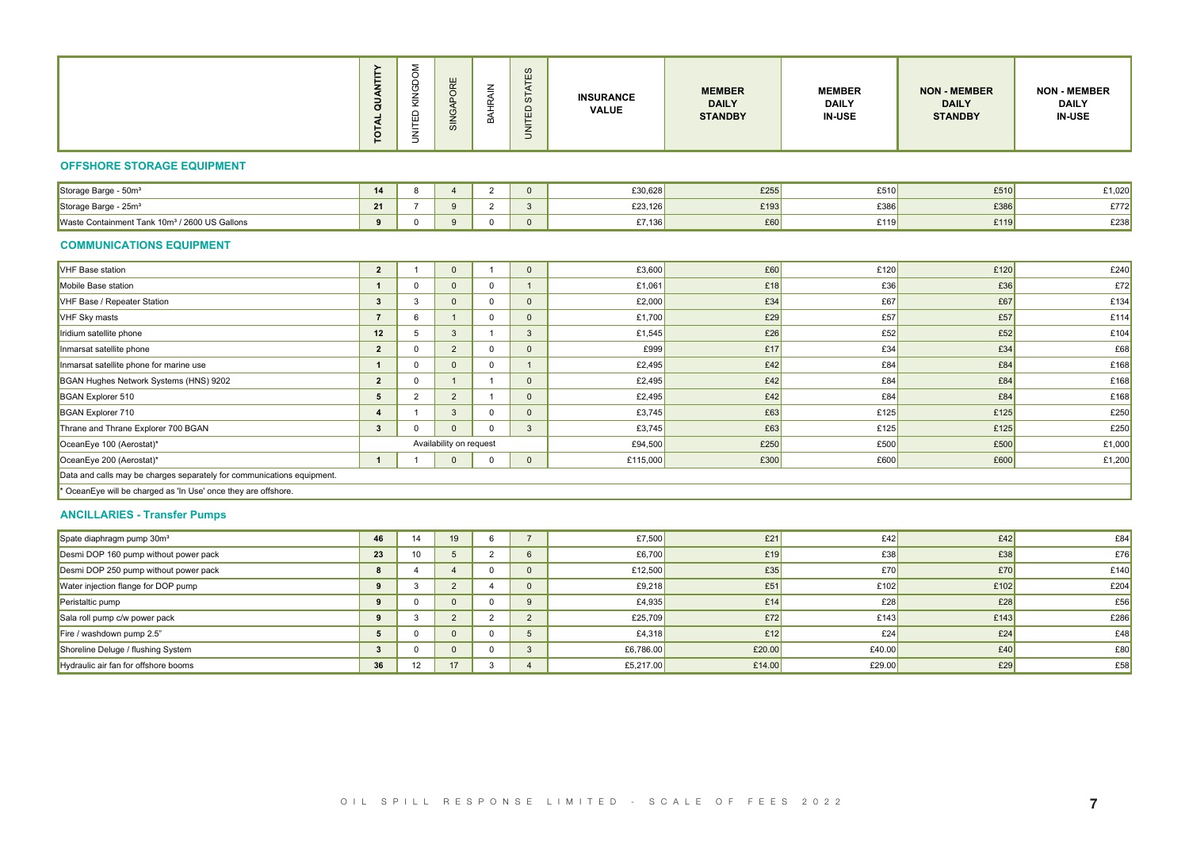#### **OFFSHORE STORAGE EQUIPMENT**

| $-1$<br>Storage Barge<br>50m°                                                         |        |  |  | C30 GOR<br>LJU,UZO | $\sim$<br>£25 | £510 | £510 | $^{\circ}1,020$ |
|---------------------------------------------------------------------------------------|--------|--|--|--------------------|---------------|------|------|-----------------|
| Storage Barge - 25m <sup>3</sup>                                                      | $\sim$ |  |  | £23,126            | 0.400         | £386 | £386 | £772.           |
| 1/2600 US Gallons<br>$\epsilon$ 10 $\mathrm{m}^3$<br>: Tonl<br>⊦ Containmen<br>مateW* |        |  |  | £7,136             | £60           | £119 | £119 | £238            |

#### **COMMUNICATIONS EQUIPMENT**

|                                                                        | ANTIT<br>ੌਰ<br>$\vec{a}$<br>$\overline{P}$ | KING<br>UNITED          | $\frac{0}{2}$<br>$\omega$ | <b>BAHRAIN</b>          | - CO<br>STATE<br><b>UNITED</b> | <b>INSURANCE</b><br><b>VALUE</b> | <b>MEMBER</b><br><b>DAILY</b><br><b>STANDBY</b> | <b>MEMBER</b><br><b>DAILY</b><br><b>IN-USE</b> | <b>NON - MEMBER</b><br><b>DAILY</b><br><b>STANDBY</b> | <b>NON - MEMBER</b><br><b>DAILY</b><br><b>IN-USE</b> |
|------------------------------------------------------------------------|--------------------------------------------|-------------------------|---------------------------|-------------------------|--------------------------------|----------------------------------|-------------------------------------------------|------------------------------------------------|-------------------------------------------------------|------------------------------------------------------|
| <b>OFFSHORE STORAGE EQUIPMENT</b>                                      |                                            |                         |                           |                         |                                |                                  |                                                 |                                                |                                                       |                                                      |
| Storage Barge - 50m <sup>3</sup>                                       | 14                                         | 8 <sup>8</sup>          | $\overline{4}$            | $\overline{2}$          | $\overline{0}$                 | £30,628                          | £255                                            | £510                                           | £510                                                  | £1,020                                               |
| Storage Barge - 25m <sup>3</sup>                                       | 21                                         | $\overline{7}$          | 9                         | $\overline{2}$          | $\overline{\mathbf{3}}$        | £23,126                          | £193                                            | £386                                           | £386                                                  | £772                                                 |
| Waste Containment Tank 10m <sup>3</sup> / 2600 US Gallons              |                                            |                         | 9                         | $\overline{\mathbf{0}}$ | $\overline{0}$                 | £7,136                           | £60                                             | £119                                           | £119                                                  | £238                                                 |
| <b>COMMUNICATIONS EQUIPMENT</b>                                        |                                            |                         |                           |                         |                                |                                  |                                                 |                                                |                                                       |                                                      |
| VHF Base station                                                       | $\vert$ 2 $\vert$                          | $\overline{1}$          | $\overline{0}$            | $\overline{1}$          | $\overline{0}$                 | £3,600                           | £60                                             | £120                                           | £120                                                  | £240                                                 |
| Mobile Base station                                                    | $\sim$ 1                                   | $\overline{0}$          | $\overline{0}$            | $\overline{0}$          | $\overline{1}$                 | £1,061                           | £18                                             | £36                                            | E36                                                   | £72                                                  |
| VHF Base / Repeater Station                                            | $\overline{\mathbf{3}}$                    | $\overline{\mathbf{3}}$ | $\overline{0}$            | $\overline{\mathbf{0}}$ | $\overline{0}$                 | £2,000                           | £34                                             | £67                                            | E67                                                   | £134                                                 |
| VHF Sky masts                                                          | $\overline{7}$                             | 6                       | $\overline{1}$            | $\overline{\mathbf{0}}$ | $\overline{0}$                 | £1,700                           | £29                                             | £57                                            | E57                                                   | £114                                                 |
| Iridium satellite phone                                                | 12                                         | 5                       | $\overline{\mathbf{3}}$   | $\overline{1}$          | $\overline{\mathbf{3}}$        | £1,545                           | £26                                             | E52                                            | E52                                                   | £104                                                 |
| Inmarsat satellite phone                                               | $\overline{2}$                             | $\Omega$                | $\overline{2}$            | $\overline{0}$          | $\overline{0}$                 | £999                             | £17                                             | E34                                            | £34                                                   | £68                                                  |
| Inmarsat satellite phone for marine use                                | $\vert$ 1 $\vert$                          | $\overline{0}$          | $\overline{0}$            | $\overline{\mathbf{0}}$ | $\overline{1}$                 | £2,495                           | £42                                             | £84                                            | E84                                                   | £168                                                 |
| BGAN Hughes Network Systems (HNS) 9202                                 | $\overline{2}$                             | $\overline{0}$          | $\overline{1}$            | $\overline{1}$          | $\overline{0}$                 | £2,495                           | £42                                             | £84                                            | E84                                                   | £168                                                 |
| BGAN Explorer 510                                                      | $5 \quad$                                  | $\overline{2}$          | $\overline{2}$            | $\overline{1}$          | $\overline{0}$                 | £2,495                           | £42                                             | £84                                            | E84                                                   | £168                                                 |
| BGAN Explorer 710                                                      | $\vert$ 4 $\vert$                          | $\overline{1}$          | $\overline{\mathbf{3}}$   | $\overline{\mathbf{0}}$ | $\overline{0}$                 | £3,745                           | £63                                             | £125                                           | £125                                                  | £250                                                 |
| Thrane and Thrane Explorer 700 BGAN                                    | $3 \mid$                                   | $\overline{\mathbf{0}}$ | $\overline{\mathbf{0}}$   | $\overline{0}$          | $\overline{\mathbf{3}}$        | £3,745                           | £63                                             | £125                                           | £125                                                  | £250                                                 |
| OceanEye 100 (Aerostat)*                                               |                                            |                         | Availability on request   |                         |                                | £94,500                          | £250                                            | £500                                           | £500                                                  | £1,000                                               |
| OceanEye 200 (Aerostat)*                                               | $1 \quad 1 \quad 1$                        |                         | $\overline{\mathbf{0}}$   | $\overline{\mathbf{0}}$ | $\overline{\mathbf{0}}$        | £115,000                         | £300                                            | £600                                           | £600                                                  | £1,200                                               |
| Data and calls may be charges separately for communications equipment. |                                            |                         |                           |                         |                                |                                  |                                                 |                                                |                                                       |                                                      |
| * OceanEye will be charged as 'In Use' once they are offshore.         |                                            |                         |                           |                         |                                |                                  |                                                 |                                                |                                                       |                                                      |
| <b>ANCILLARIES - Transfer Pumps</b>                                    |                                            |                         |                           |                         |                                |                                  |                                                 |                                                |                                                       |                                                      |
| Spate diaphragm pump 30m <sup>3</sup>                                  |                                            | 46   14                 | 19                        | $6\overline{6}$         | $7\overline{ }$                | £7,500                           | E21                                             | £42                                            | £42                                                   | £84                                                  |
| Desmi DOP 160 pump without power pack                                  | 23                                         | 10                      | 5 <sup>5</sup>            | $\overline{2}$          | $6\overline{6}$                | £6,700                           | £19                                             | E38                                            | E38                                                   | £76                                                  |
| Desmi DOP 250 pump without power pack                                  | 8                                          | $\overline{4}$          | $\overline{4}$            | $\overline{0}$          | $\overline{0}$                 | £12,500                          | £35                                             | E70                                            | £70                                                   | £140                                                 |
| Water injection flange for DOP pump                                    | 9                                          | $\overline{\mathbf{3}}$ | $\overline{2}$            | $\overline{4}$          | $\overline{0}$                 | £9,218                           | £51                                             | £102                                           | £102                                                  | £204                                                 |
| Peristaltic pump                                                       | 9                                          | $\overline{\mathbf{0}}$ | $\overline{0}$            | $\overline{0}$          | 9                              | £4,935                           | £14                                             | £28                                            | £28                                                   | £56                                                  |
| Sala roll pump c/w power pack                                          | 9                                          | $\overline{\mathbf{3}}$ | $\overline{2}$            | $\overline{\mathbf{2}}$ | $\overline{2}$                 | £25,709                          | E72                                             | £143                                           | £143                                                  | £286                                                 |
| Fire / washdown pump 2.5"                                              | 5 <sub>5</sub>                             | $\overline{0}$          | $\overline{0}$            | $\overline{0}$          | 5 <sup>5</sup>                 | £4,318                           | £12                                             | E24                                            | £24                                                   | £48                                                  |
| Shoreline Deluge / flushing System                                     | 3                                          | $\overline{0}$          | $\overline{0}$            | $\overline{0}$          | 3 <sup>3</sup>                 | £6,786.00                        | £20.00                                          | £40.00                                         | £40                                                   | £80                                                  |
| Hydraulic air fan for offshore booms                                   | 36                                         | 12                      | 17                        | $\overline{\mathbf{3}}$ | $\overline{4}$                 | £5,217.00                        | £14.00                                          | £29.00                                         | E29                                                   | £58                                                  |

## **ANCILLARIES - Transfer Pumps**

| Spate diaphragm pump 30m <sup>3</sup> | 46 |       |    |  | £7,500    | £21    | £42    | £42  | £84  |
|---------------------------------------|----|-------|----|--|-----------|--------|--------|------|------|
| Desmi DOP 160 pump without power pack | 23 | - 1 4 |    |  | £6,700    | £19    | £38    | £38  | £76  |
| Desmi DOP 250 pump without power pack |    |       |    |  | £12,500   | £35    | £70    | £70  | £140 |
| Water injection flange for DOP pump   |    |       |    |  | £9,218    | £51    | £102   | £102 | £204 |
| Peristaltic pump                      |    |       |    |  | £4,935    | £14    | £28    | £28  | £56  |
| Sala roll pump c/w power pack         |    |       |    |  | £25,709   | £72    | £143   | £143 | £286 |
| Fire / washdown pump 2.5"             |    |       |    |  | £4,318    | £12    | £24    | £24  | £48  |
| Shoreline Deluge / flushing System    |    |       |    |  | £6,786.00 | £20.00 | £40.00 | £40  | £80  |
| Hydraulic air fan for offshore booms  | 36 |       | 17 |  | £5,217.00 | £14.00 | £29.00 | £29  | £58  |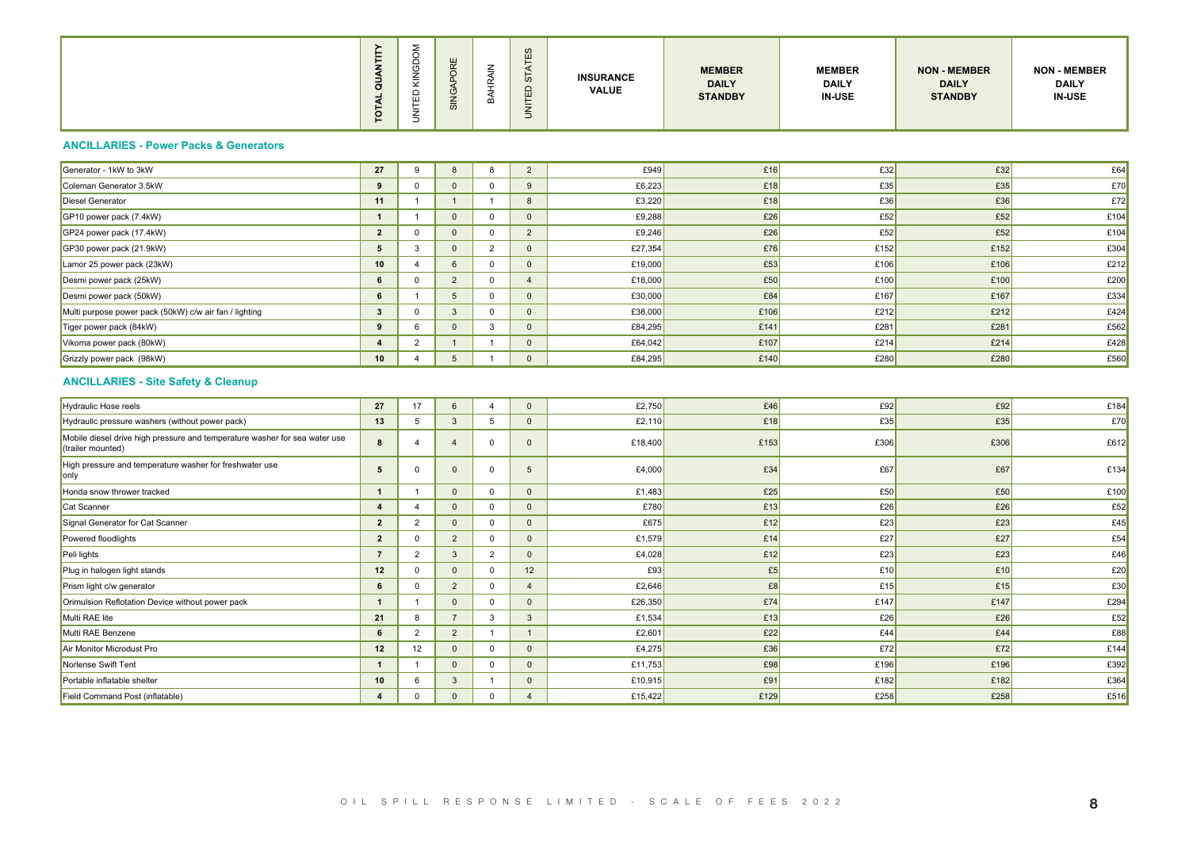|  | -<br>-<br>$\sigma$<br>u | ш<br>$\omega$ |  | $\omega$<br>$\mathbf{H}$<br>Ш<br>_ | <b>INSURANCE</b><br><b>VALUE</b> | <b>MEMBER</b><br><b>DAILY</b><br><b>STANDBY</b> | <b>MEMBER</b><br><b>DAILY</b><br><b>IN-USE</b> | <b>NON - MEMBER</b><br><b>DAILY</b><br><b>STANDBY</b> | <b>NON - MEMBER</b><br><b>DAILY</b><br><b>IN-USE</b> |
|--|-------------------------|---------------|--|------------------------------------|----------------------------------|-------------------------------------------------|------------------------------------------------|-------------------------------------------------------|------------------------------------------------------|
|--|-------------------------|---------------|--|------------------------------------|----------------------------------|-------------------------------------------------|------------------------------------------------|-------------------------------------------------------|------------------------------------------------------|

## **ANCILLARIES - Power Packs & Generators**

| ੌਰ<br>TOTAL    | KINGD<br>UNITED         | $\overline{v}$                                                                                       | ≅<br>₹                  | က<br><b>ATE</b><br>$\overline{5}$<br>UNITED:                                                                                                                                                                                                                                   | <b>INSURANCE</b><br><b>VALUE</b>                                                                                                                                                                                                                                                                                                                                                                                                                                                                                                              | <b>MEMBER</b><br><b>DAILY</b><br><b>STANDBY</b> | <b>MEMBER</b><br><b>DAILY</b><br><b>IN-USE</b> | <b>NON - MEMBER</b><br><b>DAILY</b><br><b>STANDBY</b> | <b>NON - MEMBER</b><br><b>DAILY</b><br><b>IN-USE</b> |
|----------------|-------------------------|------------------------------------------------------------------------------------------------------|-------------------------|--------------------------------------------------------------------------------------------------------------------------------------------------------------------------------------------------------------------------------------------------------------------------------|-----------------------------------------------------------------------------------------------------------------------------------------------------------------------------------------------------------------------------------------------------------------------------------------------------------------------------------------------------------------------------------------------------------------------------------------------------------------------------------------------------------------------------------------------|-------------------------------------------------|------------------------------------------------|-------------------------------------------------------|------------------------------------------------------|
|                |                         |                                                                                                      |                         |                                                                                                                                                                                                                                                                                |                                                                                                                                                                                                                                                                                                                                                                                                                                                                                                                                               |                                                 |                                                |                                                       |                                                      |
|                | 9                       | 8 <sup>8</sup>                                                                                       |                         | $\overline{\mathbf{2}}$                                                                                                                                                                                                                                                        | £949                                                                                                                                                                                                                                                                                                                                                                                                                                                                                                                                          | £16                                             | E32                                            | £32                                                   | E64                                                  |
|                | $\overline{0}$          |                                                                                                      |                         | $\overline{9}$                                                                                                                                                                                                                                                                 | £6,223                                                                                                                                                                                                                                                                                                                                                                                                                                                                                                                                        | £18                                             | £35                                            | E35                                                   | £70                                                  |
| 11             | $\overline{1}$          |                                                                                                      |                         |                                                                                                                                                                                                                                                                                | £3,220                                                                                                                                                                                                                                                                                                                                                                                                                                                                                                                                        | £18                                             | £36                                            | £36                                                   | E72                                                  |
| $\overline{1}$ | $\overline{1}$          | $\overline{0}$                                                                                       |                         | $\overline{\phantom{0}}$                                                                                                                                                                                                                                                       | £9,288                                                                                                                                                                                                                                                                                                                                                                                                                                                                                                                                        | £26                                             | £52                                            | E52                                                   | £104                                                 |
| $\overline{2}$ | $\overline{\mathbf{0}}$ | $\overline{\mathbf{0}}$                                                                              |                         | $\overline{\phantom{0}}$                                                                                                                                                                                                                                                       | £9,246                                                                                                                                                                                                                                                                                                                                                                                                                                                                                                                                        | £26                                             | £52                                            | E52                                                   | £104                                                 |
|                | $\overline{\mathbf{3}}$ |                                                                                                      |                         |                                                                                                                                                                                                                                                                                | £27,354                                                                                                                                                                                                                                                                                                                                                                                                                                                                                                                                       | £76                                             | £152                                           | £152                                                  | £304                                                 |
| 10             | $\overline{4}$          |                                                                                                      |                         | $\overline{\phantom{0}}$                                                                                                                                                                                                                                                       | £19,000                                                                                                                                                                                                                                                                                                                                                                                                                                                                                                                                       | £53                                             | £106                                           | £106                                                  | £212                                                 |
| 6 <sup>1</sup> | $\overline{0}$          | $\overline{2}$                                                                                       |                         | $\overline{4}$                                                                                                                                                                                                                                                                 | £18,000                                                                                                                                                                                                                                                                                                                                                                                                                                                                                                                                       | £50                                             | £100                                           | £100                                                  | £200                                                 |
| 6 <sup>6</sup> | $\overline{1}$          | 5 <sup>5</sup>                                                                                       |                         | $\overline{\phantom{0}}$                                                                                                                                                                                                                                                       | £30,000                                                                                                                                                                                                                                                                                                                                                                                                                                                                                                                                       | £84                                             | £167                                           | £167                                                  | £334                                                 |
|                | $\overline{0}$          |                                                                                                      |                         | $\begin{array}{ccc} \circ & \circ \end{array}$                                                                                                                                                                                                                                 | £38,000                                                                                                                                                                                                                                                                                                                                                                                                                                                                                                                                       | £106                                            | £212                                           | £212                                                  | £424                                                 |
| 9              | 6                       | $\overline{\mathbf{0}}$                                                                              |                         | $\overline{\phantom{0}}$                                                                                                                                                                                                                                                       | £84,295                                                                                                                                                                                                                                                                                                                                                                                                                                                                                                                                       | £141                                            | £281                                           | £281                                                  | £562                                                 |
| $\sim$ 4       | $\overline{2}$          | $\overline{1}$                                                                                       |                         | $\overline{\mathbf{0}}$                                                                                                                                                                                                                                                        | £64,042                                                                                                                                                                                                                                                                                                                                                                                                                                                                                                                                       | £107                                            | £214                                           | £214                                                  | £428                                                 |
|                |                         |                                                                                                      |                         |                                                                                                                                                                                                                                                                                |                                                                                                                                                                                                                                                                                                                                                                                                                                                                                                                                               |                                                 |                                                |                                                       | £560                                                 |
|                |                         |                                                                                                      |                         |                                                                                                                                                                                                                                                                                |                                                                                                                                                                                                                                                                                                                                                                                                                                                                                                                                               |                                                 |                                                |                                                       |                                                      |
|                | 17                      |                                                                                                      |                         |                                                                                                                                                                                                                                                                                | £2,750                                                                                                                                                                                                                                                                                                                                                                                                                                                                                                                                        | £46                                             | E92                                            | £92                                                   | £184                                                 |
| 13             | $5^{\circ}$             |                                                                                                      |                         | $\overline{\phantom{0}}$                                                                                                                                                                                                                                                       | £2,110                                                                                                                                                                                                                                                                                                                                                                                                                                                                                                                                        | £18                                             | £35                                            | £35                                                   | £70                                                  |
| 8              | $\overline{4}$          | $\overline{4}$                                                                                       | $\overline{0}$          | $\overline{\phantom{0}}$                                                                                                                                                                                                                                                       | £18,400                                                                                                                                                                                                                                                                                                                                                                                                                                                                                                                                       | £153                                            | £306                                           | £306                                                  | £612                                                 |
| 5 <sub>5</sub> | $\mathbf 0$             | $\overline{0}$                                                                                       | $\overline{0}$          | 5                                                                                                                                                                                                                                                                              | £4,000                                                                                                                                                                                                                                                                                                                                                                                                                                                                                                                                        | £34                                             | £67                                            | £67                                                   | £134                                                 |
| $\overline{1}$ | $\overline{1}$          | $\overline{\mathbf{0}}$                                                                              |                         | $\overline{\phantom{0}}$                                                                                                                                                                                                                                                       | £1,483                                                                                                                                                                                                                                                                                                                                                                                                                                                                                                                                        | £25                                             | £50                                            | E50                                                   | £100                                                 |
| $\overline{4}$ | $\overline{4}$          |                                                                                                      |                         | $\overline{\phantom{0}}$                                                                                                                                                                                                                                                       | £780                                                                                                                                                                                                                                                                                                                                                                                                                                                                                                                                          | £13                                             | £26                                            | £26                                                   | £52                                                  |
| $2 \mid$       | $\overline{2}$          | $\overline{0}$                                                                                       |                         | $\overline{\phantom{0}}$                                                                                                                                                                                                                                                       | £675                                                                                                                                                                                                                                                                                                                                                                                                                                                                                                                                          | £12                                             | E23                                            | £23                                                   | £45                                                  |
| $\overline{2}$ | $\overline{0}$          | $\overline{2}$                                                                                       | $\overline{0}$          | $\overline{\phantom{0}}$                                                                                                                                                                                                                                                       | £1,579                                                                                                                                                                                                                                                                                                                                                                                                                                                                                                                                        | £14                                             | E27                                            | £27                                                   | £54                                                  |
| $\overline{7}$ | $\overline{2}$          | 3 <sup>3</sup>                                                                                       |                         | $\overline{\phantom{0}}$                                                                                                                                                                                                                                                       | £4,028                                                                                                                                                                                                                                                                                                                                                                                                                                                                                                                                        | £12                                             | E23                                            | E23                                                   | £46                                                  |
| 12             | $\overline{0}$          |                                                                                                      |                         | 12                                                                                                                                                                                                                                                                             | E93                                                                                                                                                                                                                                                                                                                                                                                                                                                                                                                                           | E5                                              | £10                                            | £10                                                   | £20                                                  |
|                | $\overline{\mathbf{0}}$ |                                                                                                      |                         | $\overline{4}$                                                                                                                                                                                                                                                                 | £2,646                                                                                                                                                                                                                                                                                                                                                                                                                                                                                                                                        | E8                                              | £15                                            | £15                                                   | £30                                                  |
| $\overline{1}$ | $\overline{1}$          | $\overline{0}$                                                                                       |                         | $\overline{\mathbf{0}}$                                                                                                                                                                                                                                                        | £26,350                                                                                                                                                                                                                                                                                                                                                                                                                                                                                                                                       | £74                                             | £147                                           | £147                                                  | £294                                                 |
|                | 8                       |                                                                                                      |                         |                                                                                                                                                                                                                                                                                | £1,534                                                                                                                                                                                                                                                                                                                                                                                                                                                                                                                                        | £13                                             | £26                                            | £26                                                   | E52                                                  |
|                | $\overline{\mathbf{2}}$ |                                                                                                      |                         | $\overline{1}$                                                                                                                                                                                                                                                                 | £2,601                                                                                                                                                                                                                                                                                                                                                                                                                                                                                                                                        | E22                                             | £44                                            | £44                                                   | £88                                                  |
|                |                         |                                                                                                      |                         |                                                                                                                                                                                                                                                                                |                                                                                                                                                                                                                                                                                                                                                                                                                                                                                                                                               | £36                                             |                                                |                                                       | £144                                                 |
| $\overline{1}$ | $\overline{1}$          | $\overline{\mathbf{0}}$                                                                              | $\overline{\mathbf{0}}$ | $\overline{\mathbf{0}}$                                                                                                                                                                                                                                                        | £11,753                                                                                                                                                                                                                                                                                                                                                                                                                                                                                                                                       | E98                                             | £196                                           | £196                                                  | £392                                                 |
|                |                         |                                                                                                      |                         | $\begin{array}{c cccc} \textbf{10} & \textbf{6} & \textbf{3} & \textbf{1} & \textbf{0} \\ \textbf{4} & \textbf{0} & \textbf{0} & \textbf{0} & \textbf{4} \end{array}$                                                                                                          | £10,915                                                                                                                                                                                                                                                                                                                                                                                                                                                                                                                                       | £91                                             | £182                                           | £182                                                  | £364                                                 |
|                |                         |                                                                                                      |                         |                                                                                                                                                                                                                                                                                | £15,422                                                                                                                                                                                                                                                                                                                                                                                                                                                                                                                                       | £129                                            | £258                                           | £258                                                  | £516                                                 |
|                | 12                      | 27<br>9<br>$5 \quad$<br>$3 \mid$<br>10<br>$\overline{4}$<br>27<br>$6 \quad$<br>21<br>$6 \quad$<br>12 |                         | $\overline{0}$<br>$\vert$ 1 $\vert$<br>$\overline{\mathbf{0}}$<br>$6\overline{6}$<br>3 <sup>3</sup><br>5 <sup>5</sup><br>$6 \mid$<br>$\overline{\phantom{a}3}$<br>$\overline{0}$<br>$\overline{0}$<br>$\overline{2}$<br>$7 \quad$<br>$\overline{2}$<br>$\overline{\mathbf{0}}$ | 8<br>$\overline{0}$<br>$1 \quad 8$<br>$\overline{0}$<br>$\overline{\mathbf{0}}$<br>$\overline{2}$<br>$\overline{\mathbf{0}}$<br>$\overline{\mathbf{0}}$<br>$\overline{\mathbf{0}}$<br>$\overline{0}$<br>$\overline{\mathbf{3}}$<br>$\overline{1}$<br>$\overline{\phantom{0}}$<br>$\overline{1}$<br>4 0<br>5 <sub>5</sub><br>$\overline{0}$<br>$\overline{0}$<br>$\overline{0}$<br>$\overline{2}$<br>$\overline{0}$<br>$\overline{\mathbf{0}}$<br>$\overline{0}$<br>$3 \mid 3$<br>$\overline{1}$<br>$\overline{\phantom{0}}$<br>$\overline{0}$ | £84,295<br>£4,275                               | £140                                           | £280<br>E72                                           | £280<br>E72                                          |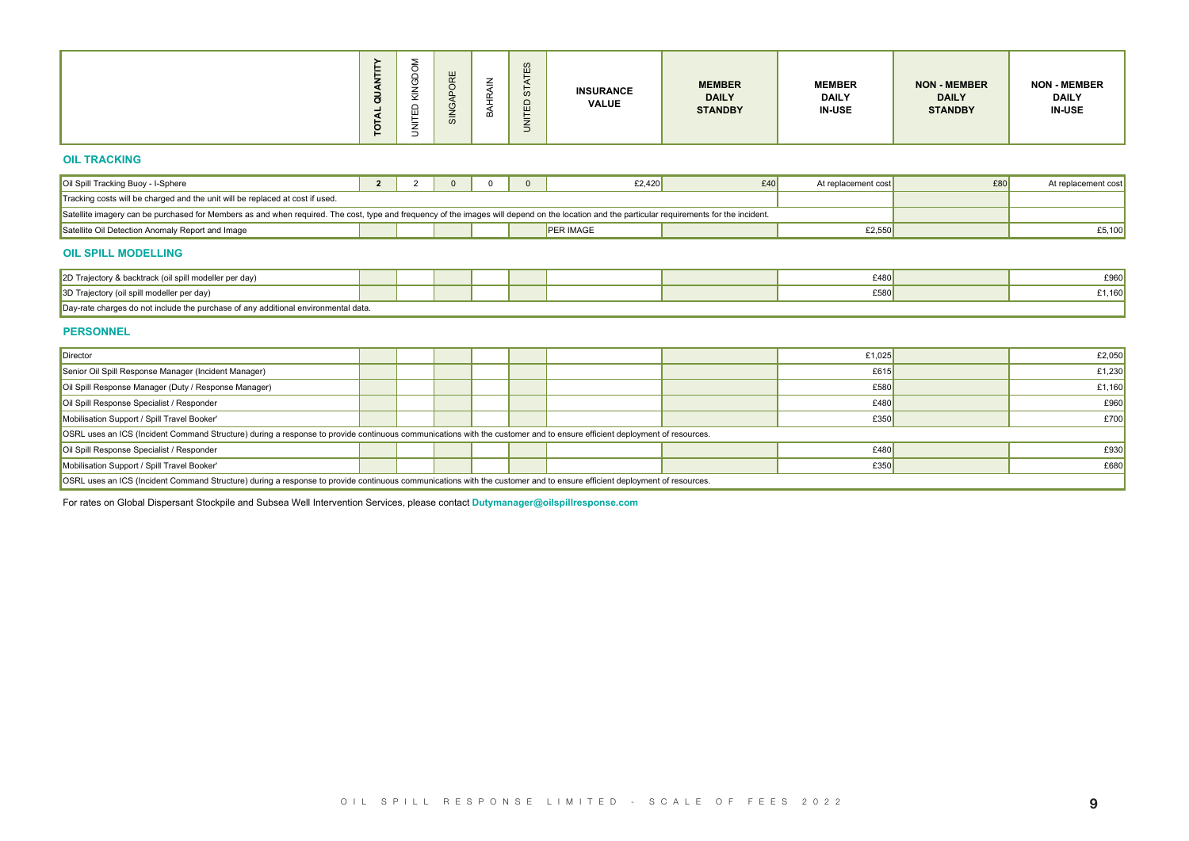| -<br>$\bar{\sigma}$<br>-<br>-<br>◡<br>⊢ | -<br>$\ddot{\phantom{0}}$<br>∼<br>-<br>- | ш<br>$\overline{\phantom{0}}$<br>$\overline{v}$ | ≃ | $\omega$<br>ш<br><sub>0</sub><br>ш<br>- | <b>INSURANCE</b><br><b>VALUE</b> | <b>MEMBER</b><br><b>DAILY</b><br><b>STANDBY</b> | <b>MEMBER</b><br><b>DAILY</b><br><b>IN-USE</b> | <b>NON - MEMBER</b><br><b>DAILY</b><br><b>STANDBY</b> | <b>NON - MEMBER</b><br><b>DAILY</b><br><b>IN-USE</b> |
|-----------------------------------------|------------------------------------------|-------------------------------------------------|---|-----------------------------------------|----------------------------------|-------------------------------------------------|------------------------------------------------|-------------------------------------------------------|------------------------------------------------------|
|-----------------------------------------|------------------------------------------|-------------------------------------------------|---|-----------------------------------------|----------------------------------|-------------------------------------------------|------------------------------------------------|-------------------------------------------------------|------------------------------------------------------|

#### **OIL TRACKING**

| Oil Spill Tracking Buoy - I-Sphere                                                                                                                                                            |  |  | £2.420    | £40 | At replacement cost | £80 | At replacement cost |
|-----------------------------------------------------------------------------------------------------------------------------------------------------------------------------------------------|--|--|-----------|-----|---------------------|-----|---------------------|
| Tracking costs will be charged and the unit will be replaced at cost if used.                                                                                                                 |  |  |           |     |                     |     |                     |
| Satellite imagery can be purchased for Members as and when required. The cost, type and frequency of the images will depend on the location and the particular requirements for the incident. |  |  |           |     |                     |     |                     |
| Satellite Oil Detection Anomaly Report and Image                                                                                                                                              |  |  | PER IMAGE |     | £2,550              |     | £5,100              |

#### **OIL SPILL MODELLING**

| 2D Trajectory & backtrack (oil spill modeller per day)                                |  |  |  | £480 | £960            |
|---------------------------------------------------------------------------------------|--|--|--|------|-----------------|
| 3D Trajectory (oil spill modeller per day)                                            |  |  |  | £580 | $^{\circ}1,160$ |
| rges do not include the purchase of any additional environmental data.<br>∽av-rate cn |  |  |  |      |                 |

#### **PERSONNEL**

|                                                                                                                                                                                               | QUANTIT<br>TOTAL | UNITED KINGDO | <b>BAHRAIN</b> | UNITED STATES<br><b>INSURANCE</b><br><b>VALUE</b> | <b>MEMBER</b><br><b>DAILY</b><br><b>STANDBY</b> | <b>MEMBER</b><br><b>DAILY</b><br><b>IN-USE</b> | <b>NON - MEMBER</b><br><b>DAILY</b><br><b>STANDBY</b> | <b>NON - MEMBER</b><br><b>DAILY</b><br><b>IN-USE</b> |
|-----------------------------------------------------------------------------------------------------------------------------------------------------------------------------------------------|------------------|---------------|----------------|---------------------------------------------------|-------------------------------------------------|------------------------------------------------|-------------------------------------------------------|------------------------------------------------------|
| <b>OIL TRACKING</b>                                                                                                                                                                           |                  |               |                |                                                   |                                                 |                                                |                                                       |                                                      |
| Oil Spill Tracking Buoy - I-Sphere                                                                                                                                                            |                  | 2 2 0 0 0     |                | £2,420                                            | £40                                             | At replacement cost                            | £80                                                   | At replacement cost                                  |
| Tracking costs will be charged and the unit will be replaced at cost if used.                                                                                                                 |                  |               |                |                                                   |                                                 |                                                |                                                       |                                                      |
| Satellite imagery can be purchased for Members as and when required. The cost, type and frequency of the images will depend on the location and the particular requirements for the incident. |                  |               |                |                                                   |                                                 |                                                |                                                       |                                                      |
| Satellite Oil Detection Anomaly Report and Image                                                                                                                                              |                  |               |                | <b>PER IMAGE</b>                                  |                                                 | £2,550                                         |                                                       | £5,100                                               |
| <b>OIL SPILL MODELLING</b>                                                                                                                                                                    |                  |               |                |                                                   |                                                 |                                                |                                                       |                                                      |
| 2D Trajectory & backtrack (oil spill modeller per day)                                                                                                                                        |                  |               |                |                                                   |                                                 | £480                                           |                                                       | £960                                                 |
| 3D Trajectory (oil spill modeller per day)                                                                                                                                                    |                  |               |                |                                                   |                                                 | £580                                           |                                                       | £1,160                                               |
| Day-rate charges do not include the purchase of any additional environmental data.                                                                                                            |                  |               |                |                                                   |                                                 |                                                |                                                       |                                                      |
| <b>PERSONNEL</b>                                                                                                                                                                              |                  |               |                |                                                   |                                                 |                                                |                                                       |                                                      |
| Director                                                                                                                                                                                      |                  |               |                |                                                   |                                                 | £1,025                                         |                                                       | £2,050                                               |
| Senior Oil Spill Response Manager (Incident Manager)                                                                                                                                          |                  |               |                |                                                   |                                                 | £615                                           |                                                       | £1,230                                               |
| Oil Spill Response Manager (Duty / Response Manager)                                                                                                                                          |                  |               |                |                                                   |                                                 | £580                                           |                                                       | £1,160                                               |
| Oil Spill Response Specialist / Responder                                                                                                                                                     |                  |               |                |                                                   |                                                 | £480                                           |                                                       | £960                                                 |
| Mobilisation Support / Spill Travel Booker'                                                                                                                                                   |                  |               |                |                                                   |                                                 | £350                                           |                                                       | £700                                                 |
| OSRL uses an ICS (Incident Command Structure) during a response to provide continuous communications with the customer and to ensure efficient deployment of resources.                       |                  |               |                |                                                   |                                                 |                                                |                                                       |                                                      |
| Oil Spill Response Specialist / Responder                                                                                                                                                     |                  |               |                |                                                   |                                                 | £480                                           |                                                       | £930                                                 |
| Mobilisation Support / Spill Travel Booker'                                                                                                                                                   |                  |               |                |                                                   |                                                 | £350                                           |                                                       | £680                                                 |
| OSRL uses an ICS (Incident Command Structure) during a response to provide continuous communications with the customer and to ensure efficient deployment of resources.                       |                  |               |                |                                                   |                                                 |                                                |                                                       |                                                      |
| For rates on Global Dispersant Stockpile and Subsea Well Intervention Services, please contact Dutymanager@oilspillresponse.com                                                               |                  |               |                |                                                   |                                                 |                                                |                                                       |                                                      |
|                                                                                                                                                                                               |                  |               |                |                                                   |                                                 |                                                |                                                       |                                                      |
|                                                                                                                                                                                               |                  |               |                |                                                   |                                                 |                                                |                                                       |                                                      |
|                                                                                                                                                                                               |                  |               |                |                                                   |                                                 |                                                |                                                       |                                                      |
|                                                                                                                                                                                               |                  |               |                |                                                   |                                                 |                                                |                                                       |                                                      |
|                                                                                                                                                                                               |                  |               |                |                                                   |                                                 |                                                |                                                       |                                                      |
|                                                                                                                                                                                               |                  |               |                |                                                   |                                                 |                                                |                                                       |                                                      |
|                                                                                                                                                                                               |                  |               |                |                                                   |                                                 |                                                |                                                       |                                                      |
|                                                                                                                                                                                               |                  |               |                | OIL SPILL RESPONSE LIMITED - SCALE OF FEES 2022   |                                                 |                                                |                                                       |                                                      |